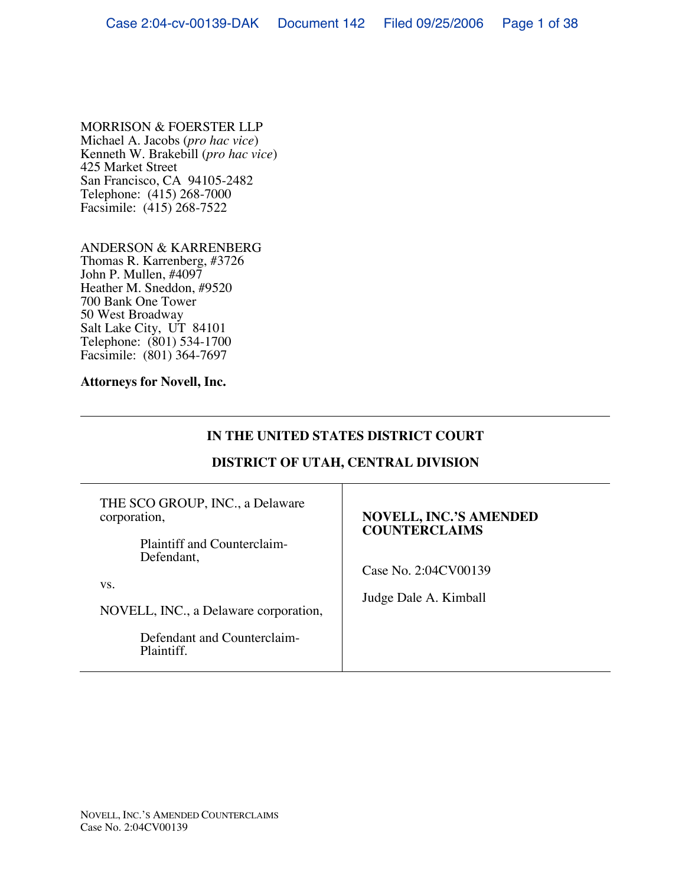### MORRISON & FOERSTER LLP

Michael A. Jacobs (*pro hac vice*) Kenneth W. Brakebill (*pro hac vice*) 425 Market Street San Francisco, CA 94105-2482 Telephone: (415) 268-7000 Facsimile: (415) 268-7522

#### ANDERSON & KARRENBERG

Thomas R. Karrenberg, #3726 John P. Mullen, #4097 Heather M. Sneddon, #9520 700 Bank One Tower 50 West Broadway Salt Lake City, UT 84101 Telephone: (801) 534-1700 Facsimile: (801) 364-7697

#### **Attorneys for Novell, Inc.**

# **IN THE UNITED STATES DISTRICT COURT**

## **DISTRICT OF UTAH, CENTRAL DIVISION**

THE SCO GROUP, INC., a Delaware corporation, Plaintiff and Counterclaim-Defendant, vs. NOVELL, INC., a Delaware corporation, Defendant and Counterclaim-Plaintiff. **NOVELL, INC.'S AMENDED COUNTERCLAIMS** Case No. 2:04CV00139 Judge Dale A. Kimball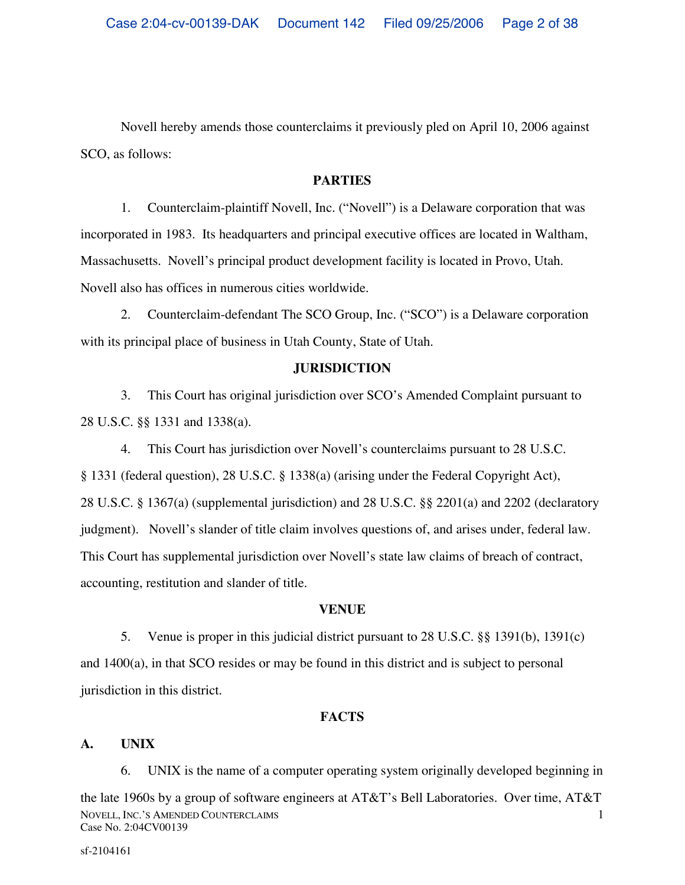Novell hereby amends those counterclaims it previously pled on April 10, 2006 against SCO, as follows:

### **PARTIES**

1. Counterclaim-plaintiff Novell, Inc. ("Novell") is a Delaware corporation that was incorporated in 1983. Its headquarters and principal executive offices are located in Waltham, Massachusetts. Novell's principal product development facility is located in Provo, Utah. Novell also has offices in numerous cities worldwide.

2. Counterclaim-defendant The SCO Group, Inc. ("SCO") is a Delaware corporation with its principal place of business in Utah County, State of Utah.

## **JURISDICTION**

3. This Court has original jurisdiction over SCO's Amended Complaint pursuant to 28 U.S.C. §§ 1331 and 1338(a).

4. This Court has jurisdiction over Novell's counterclaims pursuant to 28 U.S.C. § 1331 (federal question), 28 U.S.C. § 1338(a) (arising under the Federal Copyright Act), 28 U.S.C. § 1367(a) (supplemental jurisdiction) and 28 U.S.C. §§ 2201(a) and 2202 (declaratory judgment). Novell's slander of title claim involves questions of, and arises under, federal law. This Court has supplemental jurisdiction over Novell's state law claims of breach of contract, accounting, restitution and slander of title.

## **VENUE**

5. Venue is proper in this judicial district pursuant to 28 U.S.C. §§ 1391(b), 1391(c) and 1400(a), in that SCO resides or may be found in this district and is subject to personal jurisdiction in this district.

## **FACTS**

# **A. UNIX**

6. UNIX is the name of a computer operating system originally developed beginning in

NOVELL, INC.'S AMENDED COUNTERCLAIMS Case No. 2:04CV00139 1 the late 1960s by a group of software engineers at AT&T's Bell Laboratories. Over time, AT&T

sf-2104161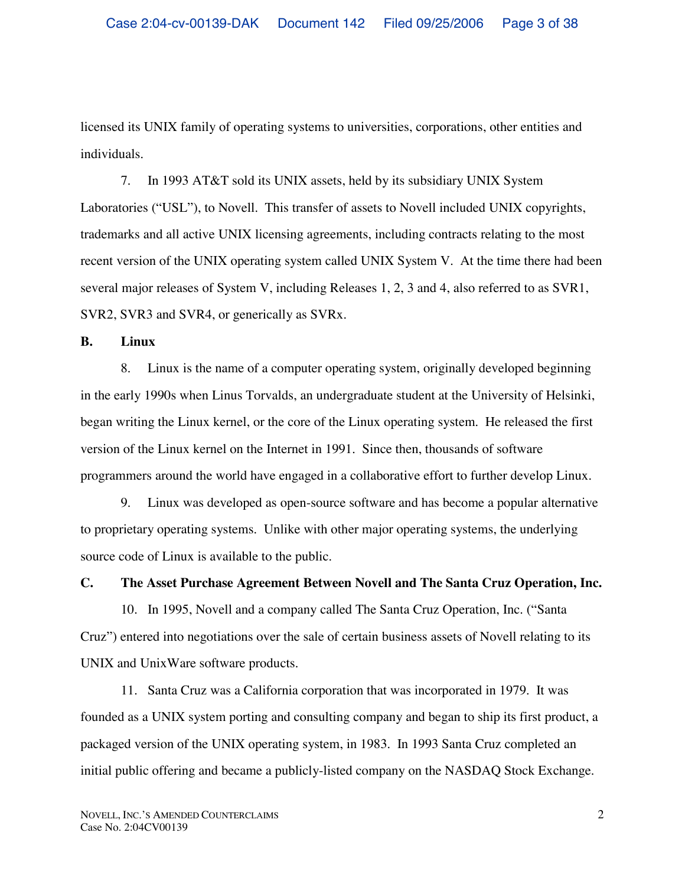licensed its UNIX family of operating systems to universities, corporations, other entities and individuals.

7. In 1993 AT&T sold its UNIX assets, held by its subsidiary UNIX System Laboratories ("USL"), to Novell. This transfer of assets to Novell included UNIX copyrights, trademarks and all active UNIX licensing agreements, including contracts relating to the most recent version of the UNIX operating system called UNIX System V. At the time there had been several major releases of System V, including Releases 1, 2, 3 and 4, also referred to as SVR1, SVR2, SVR3 and SVR4, or generically as SVRx.

#### **B. Linux**

8. Linux is the name of a computer operating system, originally developed beginning in the early 1990s when Linus Torvalds, an undergraduate student at the University of Helsinki, began writing the Linux kernel, or the core of the Linux operating system. He released the first version of the Linux kernel on the Internet in 1991. Since then, thousands of software programmers around the world have engaged in a collaborative effort to further develop Linux.

9. Linux was developed as open-source software and has become a popular alternative to proprietary operating systems. Unlike with other major operating systems, the underlying source code of Linux is available to the public.

### **C. The Asset Purchase Agreement Between Novell and The Santa Cruz Operation, Inc.**

10. In 1995, Novell and a company called The Santa Cruz Operation, Inc. ("Santa Cruz") entered into negotiations over the sale of certain business assets of Novell relating to its UNIX and UnixWare software products.

11. Santa Cruz was a California corporation that was incorporated in 1979. It was founded as a UNIX system porting and consulting company and began to ship its first product, a packaged version of the UNIX operating system, in 1983. In 1993 Santa Cruz completed an initial public offering and became a publicly-listed company on the NASDAQ Stock Exchange.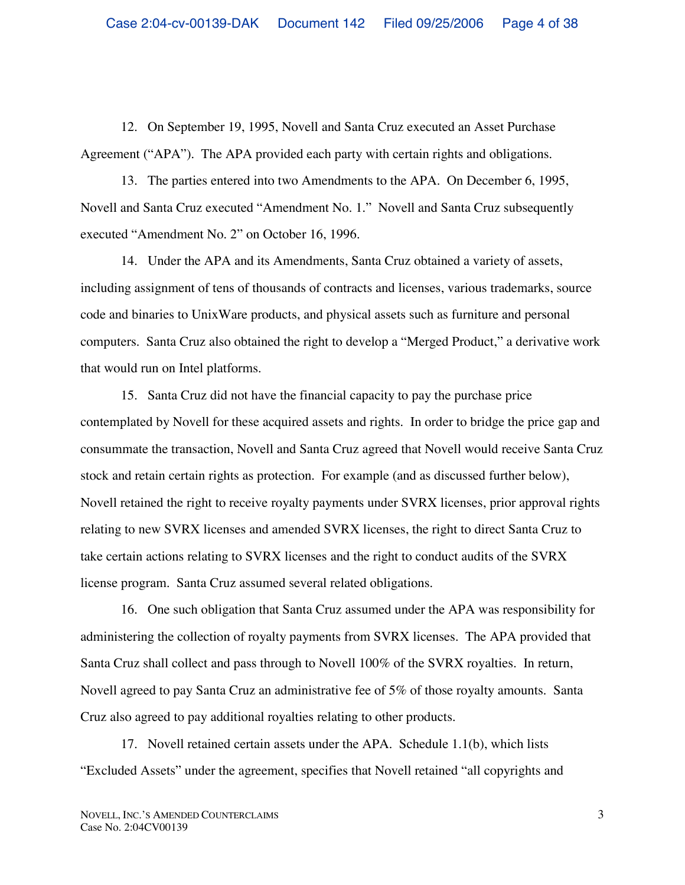12. On September 19, 1995, Novell and Santa Cruz executed an Asset Purchase Agreement ("APA"). The APA provided each party with certain rights and obligations.

13. The parties entered into two Amendments to the APA. On December 6, 1995, Novell and Santa Cruz executed "Amendment No. 1." Novell and Santa Cruz subsequently executed "Amendment No. 2" on October 16, 1996.

14. Under the APA and its Amendments, Santa Cruz obtained a variety of assets, including assignment of tens of thousands of contracts and licenses, various trademarks, source code and binaries to UnixWare products, and physical assets such as furniture and personal computers. Santa Cruz also obtained the right to develop a "Merged Product," a derivative work that would run on Intel platforms.

15. Santa Cruz did not have the financial capacity to pay the purchase price contemplated by Novell for these acquired assets and rights. In order to bridge the price gap and consummate the transaction, Novell and Santa Cruz agreed that Novell would receive Santa Cruz stock and retain certain rights as protection. For example (and as discussed further below), Novell retained the right to receive royalty payments under SVRX licenses, prior approval rights relating to new SVRX licenses and amended SVRX licenses, the right to direct Santa Cruz to take certain actions relating to SVRX licenses and the right to conduct audits of the SVRX license program. Santa Cruz assumed several related obligations.

16. One such obligation that Santa Cruz assumed under the APA was responsibility for administering the collection of royalty payments from SVRX licenses. The APA provided that Santa Cruz shall collect and pass through to Novell 100% of the SVRX royalties. In return, Novell agreed to pay Santa Cruz an administrative fee of 5% of those royalty amounts. Santa Cruz also agreed to pay additional royalties relating to other products.

17. Novell retained certain assets under the APA. Schedule 1.1(b), which lists "Excluded Assets" under the agreement, specifies that Novell retained "all copyrights and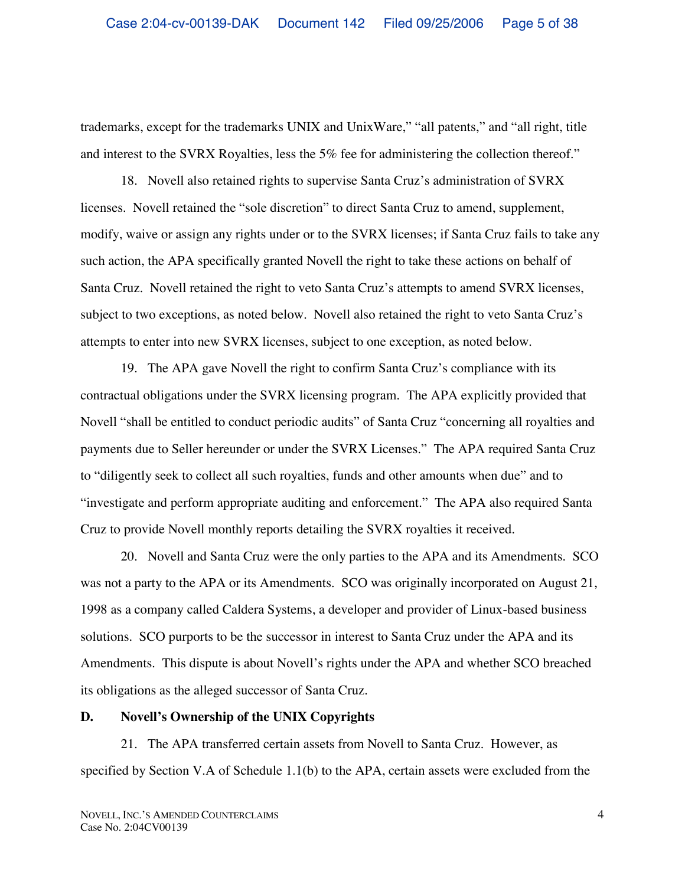trademarks, except for the trademarks UNIX and UnixWare," "all patents," and "all right, title and interest to the SVRX Royalties, less the 5% fee for administering the collection thereof."

18. Novell also retained rights to supervise Santa Cruz's administration of SVRX licenses. Novell retained the "sole discretion" to direct Santa Cruz to amend, supplement, modify, waive or assign any rights under or to the SVRX licenses; if Santa Cruz fails to take any such action, the APA specifically granted Novell the right to take these actions on behalf of Santa Cruz. Novell retained the right to veto Santa Cruz's attempts to amend SVRX licenses, subject to two exceptions, as noted below. Novell also retained the right to veto Santa Cruz's attempts to enter into new SVRX licenses, subject to one exception, as noted below.

19. The APA gave Novell the right to confirm Santa Cruz's compliance with its contractual obligations under the SVRX licensing program. The APA explicitly provided that Novell "shall be entitled to conduct periodic audits" of Santa Cruz "concerning all royalties and payments due to Seller hereunder or under the SVRX Licenses." The APA required Santa Cruz to "diligently seek to collect all such royalties, funds and other amounts when due" and to "investigate and perform appropriate auditing and enforcement." The APA also required Santa Cruz to provide Novell monthly reports detailing the SVRX royalties it received.

20. Novell and Santa Cruz were the only parties to the APA and its Amendments. SCO was not a party to the APA or its Amendments. SCO was originally incorporated on August 21, 1998 as a company called Caldera Systems, a developer and provider of Linux-based business solutions. SCO purports to be the successor in interest to Santa Cruz under the APA and its Amendments. This dispute is about Novell's rights under the APA and whether SCO breached its obligations as the alleged successor of Santa Cruz.

### **D. Novell's Ownership of the UNIX Copyrights**

21. The APA transferred certain assets from Novell to Santa Cruz. However, as specified by Section V.A of Schedule 1.1(b) to the APA, certain assets were excluded from the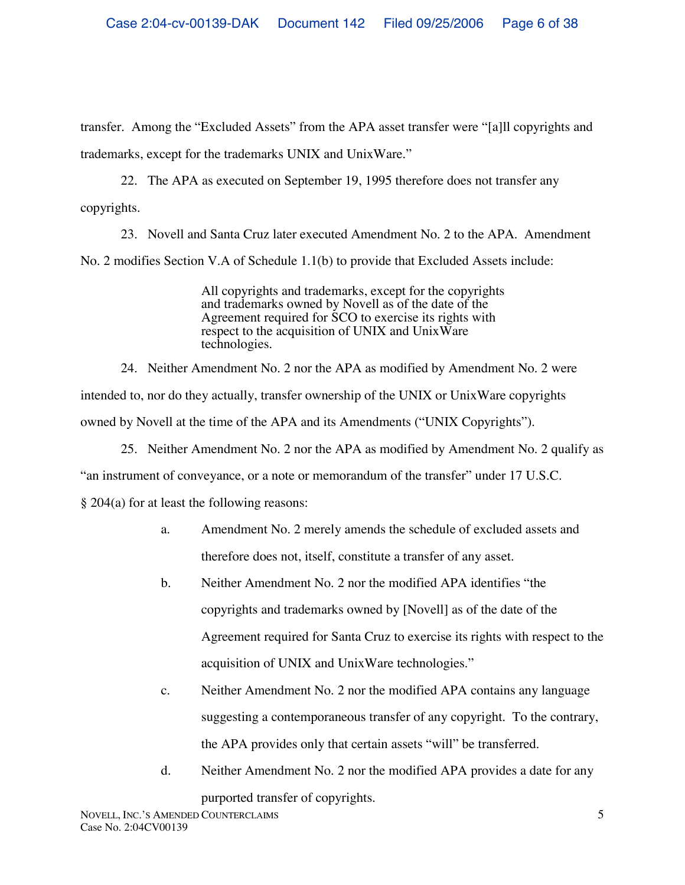transfer. Among the "Excluded Assets" from the APA asset transfer were "[a]ll copyrights and trademarks, except for the trademarks UNIX and UnixWare."

22. The APA as executed on September 19, 1995 therefore does not transfer any copyrights.

23. Novell and Santa Cruz later executed Amendment No. 2 to the APA. Amendment No. 2 modifies Section V.A of Schedule 1.1(b) to provide that Excluded Assets include:

> All copyrights and trademarks, except for the copyrights and trademarks owned by Novell as of the date of the Agreement required for SCO to exercise its rights with respect to the acquisition of UNIX and UnixWare technologies.

24. Neither Amendment No. 2 nor the APA as modified by Amendment No. 2 were intended to, nor do they actually, transfer ownership of the UNIX or UnixWare copyrights owned by Novell at the time of the APA and its Amendments ("UNIX Copyrights").

25. Neither Amendment No. 2 nor the APA as modified by Amendment No. 2 qualify as

"an instrument of conveyance, or a note or memorandum of the transfer" under 17 U.S.C.

§ 204(a) for at least the following reasons:

- a. Amendment No. 2 merely amends the schedule of excluded assets and therefore does not, itself, constitute a transfer of any asset.
- b. Neither Amendment No. 2 nor the modified APA identifies "the copyrights and trademarks owned by [Novell] as of the date of the Agreement required for Santa Cruz to exercise its rights with respect to the acquisition of UNIX and UnixWare technologies."
- c. Neither Amendment No. 2 nor the modified APA contains any language suggesting a contemporaneous transfer of any copyright. To the contrary, the APA provides only that certain assets "will" be transferred.
- d. Neither Amendment No. 2 nor the modified APA provides a date for any purported transfer of copyrights.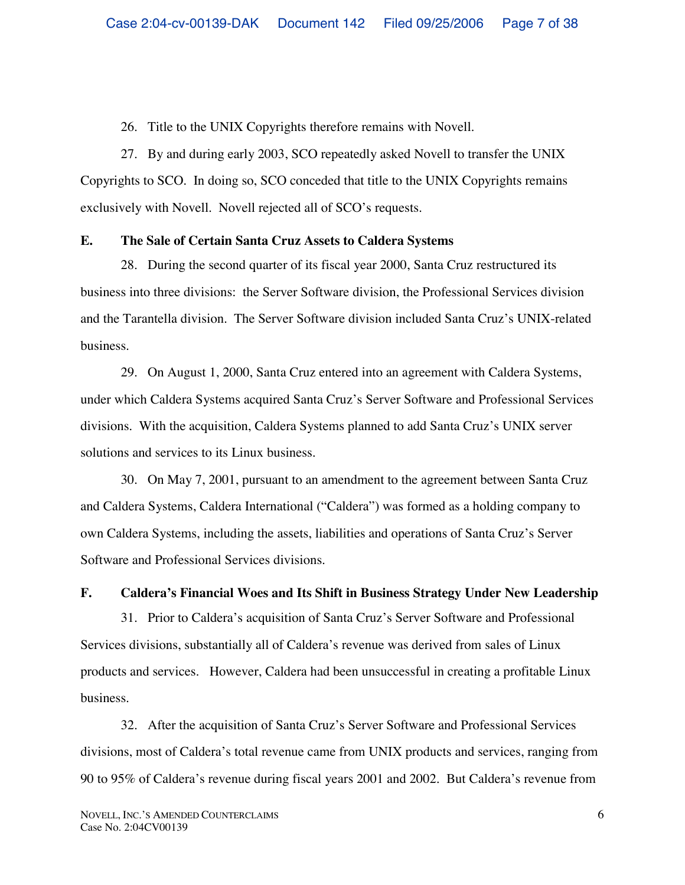26. Title to the UNIX Copyrights therefore remains with Novell.

27. By and during early 2003, SCO repeatedly asked Novell to transfer the UNIX Copyrights to SCO. In doing so, SCO conceded that title to the UNIX Copyrights remains exclusively with Novell. Novell rejected all of SCO's requests.

## **E. The Sale of Certain Santa Cruz Assets to Caldera Systems**

28. During the second quarter of its fiscal year 2000, Santa Cruz restructured its business into three divisions: the Server Software division, the Professional Services division and the Tarantella division. The Server Software division included Santa Cruz's UNIX-related business.

29. On August 1, 2000, Santa Cruz entered into an agreement with Caldera Systems, under which Caldera Systems acquired Santa Cruz's Server Software and Professional Services divisions. With the acquisition, Caldera Systems planned to add Santa Cruz's UNIX server solutions and services to its Linux business.

30. On May 7, 2001, pursuant to an amendment to the agreement between Santa Cruz and Caldera Systems, Caldera International ("Caldera") was formed as a holding company to own Caldera Systems, including the assets, liabilities and operations of Santa Cruz's Server Software and Professional Services divisions.

# **F. Caldera's Financial Woes and Its Shift in Business Strategy Under New Leadership**

31. Prior to Caldera's acquisition of Santa Cruz's Server Software and Professional Services divisions, substantially all of Caldera's revenue was derived from sales of Linux products and services. However, Caldera had been unsuccessful in creating a profitable Linux business.

32. After the acquisition of Santa Cruz's Server Software and Professional Services divisions, most of Caldera's total revenue came from UNIX products and services, ranging from 90 to 95% of Caldera's revenue during fiscal years 2001 and 2002. But Caldera's revenue from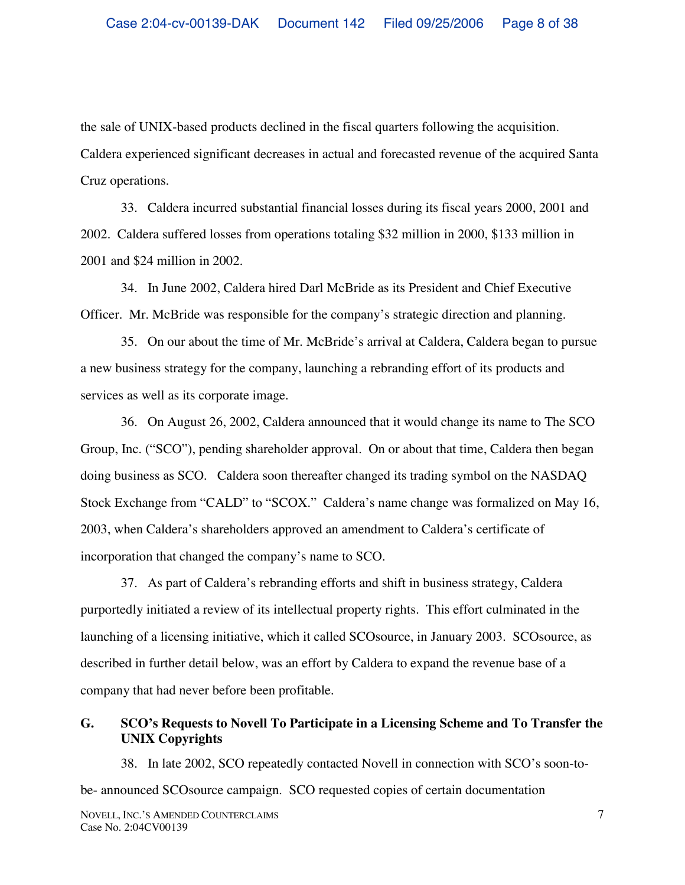the sale of UNIX-based products declined in the fiscal quarters following the acquisition. Caldera experienced significant decreases in actual and forecasted revenue of the acquired Santa Cruz operations.

33. Caldera incurred substantial financial losses during its fiscal years 2000, 2001 and 2002. Caldera suffered losses from operations totaling \$32 million in 2000, \$133 million in 2001 and \$24 million in 2002.

34. In June 2002, Caldera hired Darl McBride as its President and Chief Executive Officer. Mr. McBride was responsible for the company's strategic direction and planning.

35. On our about the time of Mr. McBride's arrival at Caldera, Caldera began to pursue a new business strategy for the company, launching a rebranding effort of its products and services as well as its corporate image.

36. On August 26, 2002, Caldera announced that it would change its name to The SCO Group, Inc. ("SCO"), pending shareholder approval. On or about that time, Caldera then began doing business as SCO. Caldera soon thereafter changed its trading symbol on the NASDAQ Stock Exchange from "CALD" to "SCOX." Caldera's name change was formalized on May 16, 2003, when Caldera's shareholders approved an amendment to Caldera's certificate of incorporation that changed the company's name to SCO.

37. As part of Caldera's rebranding efforts and shift in business strategy, Caldera purportedly initiated a review of its intellectual property rights. This effort culminated in the launching of a licensing initiative, which it called SCOsource, in January 2003. SCOsource, as described in further detail below, was an effort by Caldera to expand the revenue base of a company that had never before been profitable.

# **G. SCO's Requests to Novell To Participate in a Licensing Scheme and To Transfer the UNIX Copyrights**

38. In late 2002, SCO repeatedly contacted Novell in connection with SCO's soon-tobe- announced SCOsource campaign. SCO requested copies of certain documentation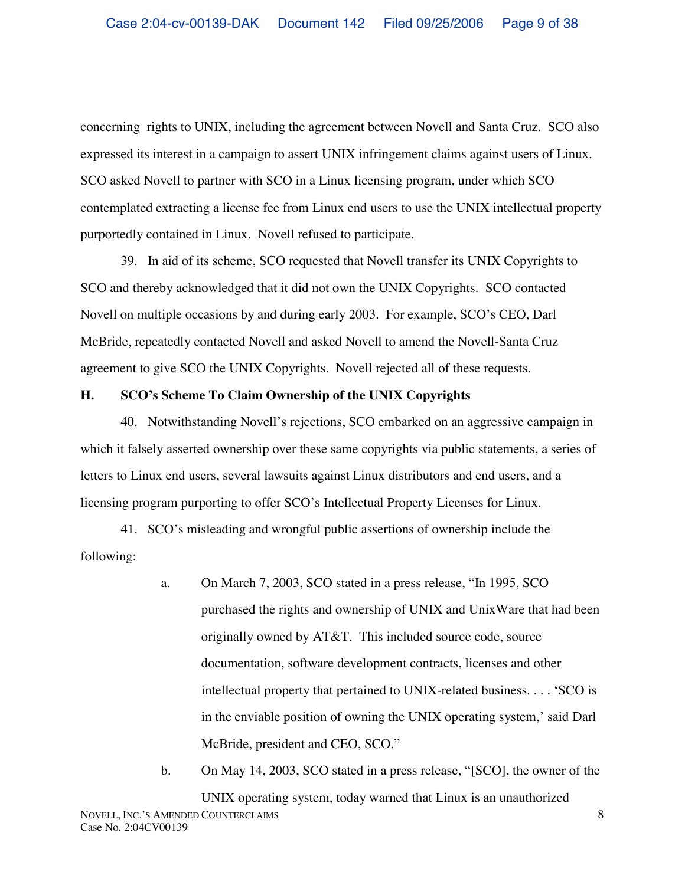concerning rights to UNIX, including the agreement between Novell and Santa Cruz. SCO also expressed its interest in a campaign to assert UNIX infringement claims against users of Linux. SCO asked Novell to partner with SCO in a Linux licensing program, under which SCO contemplated extracting a license fee from Linux end users to use the UNIX intellectual property purportedly contained in Linux. Novell refused to participate.

39. In aid of its scheme, SCO requested that Novell transfer its UNIX Copyrights to SCO and thereby acknowledged that it did not own the UNIX Copyrights. SCO contacted Novell on multiple occasions by and during early 2003. For example, SCO's CEO, Darl McBride, repeatedly contacted Novell and asked Novell to amend the Novell-Santa Cruz agreement to give SCO the UNIX Copyrights. Novell rejected all of these requests.

### **H. SCO's Scheme To Claim Ownership of the UNIX Copyrights**

40. Notwithstanding Novell's rejections, SCO embarked on an aggressive campaign in which it falsely asserted ownership over these same copyrights via public statements, a series of letters to Linux end users, several lawsuits against Linux distributors and end users, and a licensing program purporting to offer SCO's Intellectual Property Licenses for Linux.

41. SCO's misleading and wrongful public assertions of ownership include the following:

> a. On March 7, 2003, SCO stated in a press release, "In 1995, SCO purchased the rights and ownership of UNIX and UnixWare that had been originally owned by AT&T. This included source code, source documentation, software development contracts, licenses and other intellectual property that pertained to UNIX-related business. . . . 'SCO is in the enviable position of owning the UNIX operating system,' said Darl McBride, president and CEO, SCO."

NOVELL, INC.'S AMENDED COUNTERCLAIMS Case No. 2:04CV00139 8 b. On May 14, 2003, SCO stated in a press release, "[SCO], the owner of the UNIX operating system, today warned that Linux is an unauthorized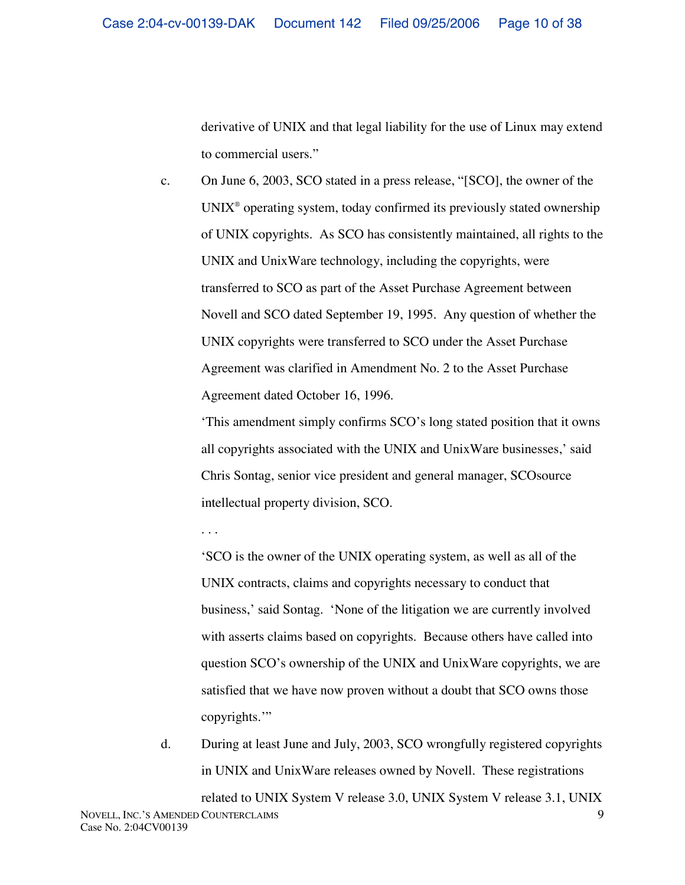derivative of UNIX and that legal liability for the use of Linux may extend to commercial users."

c. On June 6, 2003, SCO stated in a press release, "[SCO], the owner of the  $UNIX<sup>®</sup>$  operating system, today confirmed its previously stated ownership of UNIX copyrights. As SCO has consistently maintained, all rights to the UNIX and UnixWare technology, including the copyrights, were transferred to SCO as part of the Asset Purchase Agreement between Novell and SCO dated September 19, 1995. Any question of whether the UNIX copyrights were transferred to SCO under the Asset Purchase Agreement was clarified in Amendment No. 2 to the Asset Purchase Agreement dated October 16, 1996.

'This amendment simply confirms SCO's long stated position that it owns all copyrights associated with the UNIX and UnixWare businesses,' said Chris Sontag, senior vice president and general manager, SCOsource intellectual property division, SCO.

. . .

'SCO is the owner of the UNIX operating system, as well as all of the UNIX contracts, claims and copyrights necessary to conduct that business,' said Sontag. 'None of the litigation we are currently involved with asserts claims based on copyrights. Because others have called into question SCO's ownership of the UNIX and UnixWare copyrights, we are satisfied that we have now proven without a doubt that SCO owns those copyrights.'"

d. During at least June and July, 2003, SCO wrongfully registered copyrights in UNIX and UnixWare releases owned by Novell. These registrations

NOVELL, INC.'S AMENDED COUNTERCLAIMS Case No. 2:04CV00139 9 related to UNIX System V release 3.0, UNIX System V release 3.1, UNIX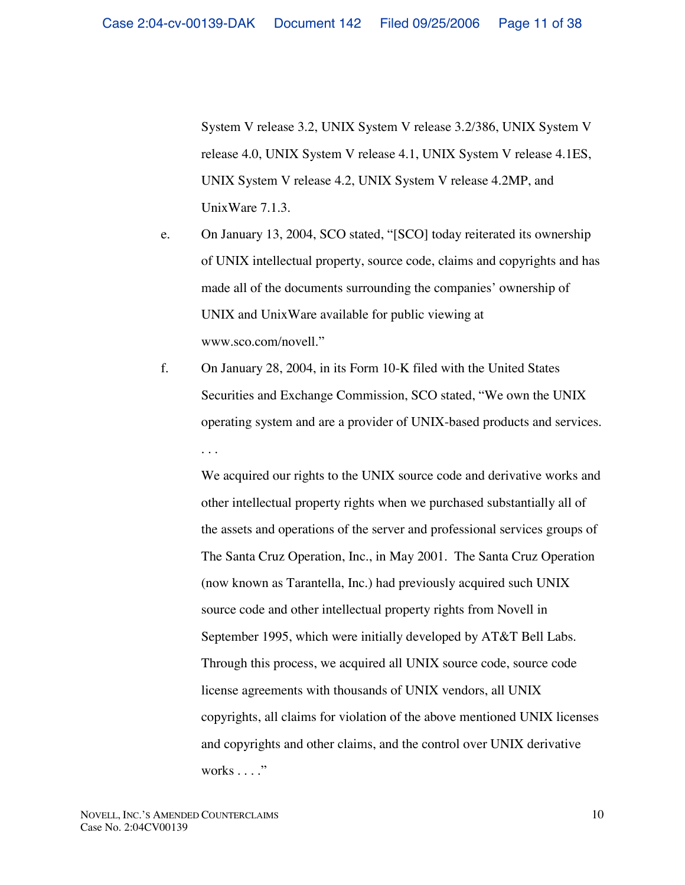System V release 3.2, UNIX System V release 3.2/386, UNIX System V release 4.0, UNIX System V release 4.1, UNIX System V release 4.1ES, UNIX System V release 4.2, UNIX System V release 4.2MP, and UnixWare 7.1.3.

- e. On January 13, 2004, SCO stated, "[SCO] today reiterated its ownership of UNIX intellectual property, source code, claims and copyrights and has made all of the documents surrounding the companies' ownership of UNIX and UnixWare available for public viewing at www.sco.com/novell."
- f. On January 28, 2004, in its Form 10-K filed with the United States Securities and Exchange Commission, SCO stated, "We own the UNIX operating system and are a provider of UNIX-based products and services. . . .

We acquired our rights to the UNIX source code and derivative works and other intellectual property rights when we purchased substantially all of the assets and operations of the server and professional services groups of The Santa Cruz Operation, Inc., in May 2001. The Santa Cruz Operation (now known as Tarantella, Inc.) had previously acquired such UNIX source code and other intellectual property rights from Novell in September 1995, which were initially developed by AT&T Bell Labs. Through this process, we acquired all UNIX source code, source code license agreements with thousands of UNIX vendors, all UNIX copyrights, all claims for violation of the above mentioned UNIX licenses and copyrights and other claims, and the control over UNIX derivative works . . . ."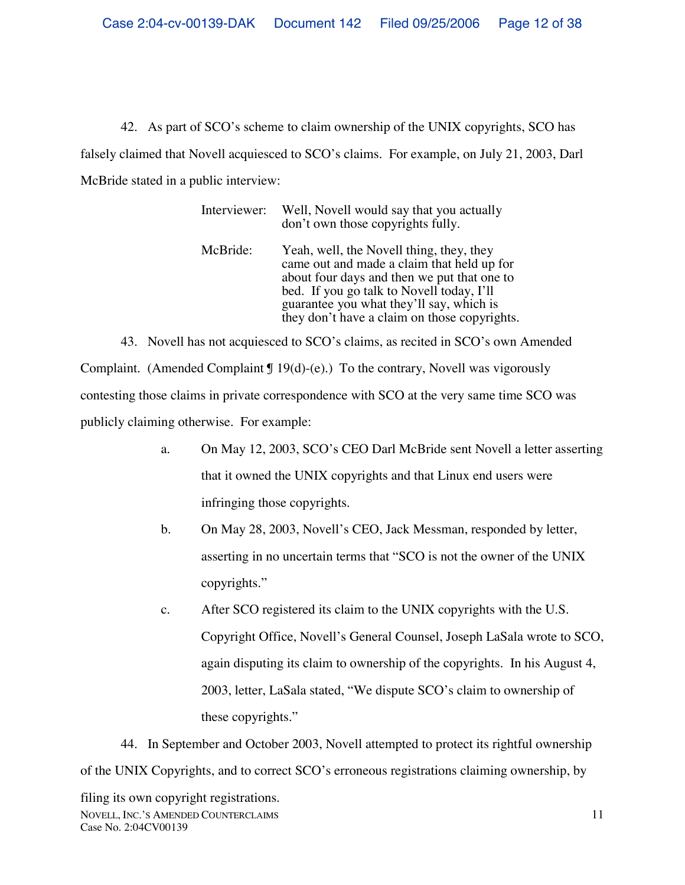42. As part of SCO's scheme to claim ownership of the UNIX copyrights, SCO has falsely claimed that Novell acquiesced to SCO's claims. For example, on July 21, 2003, Darl McBride stated in a public interview:

| Interviewer: | Well, Novell would say that you actually<br>don't own those copyrights fully.                                                                                                                                                                                                  |
|--------------|--------------------------------------------------------------------------------------------------------------------------------------------------------------------------------------------------------------------------------------------------------------------------------|
| McBride:     | Yeah, well, the Novell thing, they, they<br>came out and made a claim that held up for<br>about four days and then we put that one to<br>bed. If you go talk to Novell today, I'll<br>guarantee you what they'll say, which is<br>they don't have a claim on those copyrights. |

43. Novell has not acquiesced to SCO's claims, as recited in SCO's own Amended Complaint. (Amended Complaint  $\P$  19(d)-(e).) To the contrary, Novell was vigorously contesting those claims in private correspondence with SCO at the very same time SCO was publicly claiming otherwise. For example:

- a. On May 12, 2003, SCO's CEO Darl McBride sent Novell a letter asserting that it owned the UNIX copyrights and that Linux end users were infringing those copyrights.
- b. On May 28, 2003, Novell's CEO, Jack Messman, responded by letter, asserting in no uncertain terms that "SCO is not the owner of the UNIX copyrights."
- c. After SCO registered its claim to the UNIX copyrights with the U.S. Copyright Office, Novell's General Counsel, Joseph LaSala wrote to SCO, again disputing its claim to ownership of the copyrights. In his August 4, 2003, letter, LaSala stated, "We dispute SCO's claim to ownership of these copyrights."

44. In September and October 2003, Novell attempted to protect its rightful ownership of the UNIX Copyrights, and to correct SCO's erroneous registrations claiming ownership, by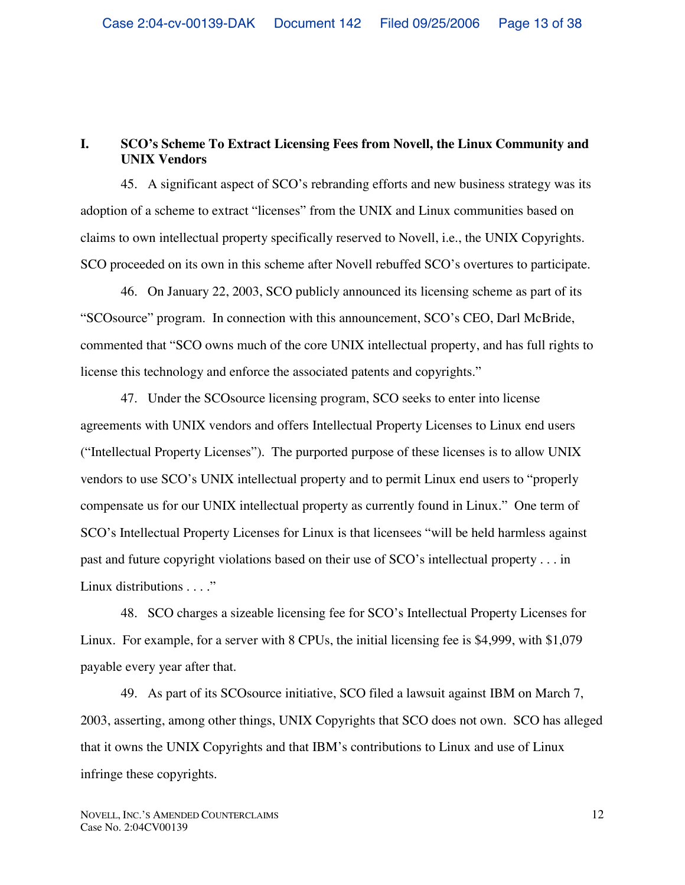# **I. SCO's Scheme To Extract Licensing Fees from Novell, the Linux Community and UNIX Vendors**

45. A significant aspect of SCO's rebranding efforts and new business strategy was its adoption of a scheme to extract "licenses" from the UNIX and Linux communities based on claims to own intellectual property specifically reserved to Novell, i.e., the UNIX Copyrights. SCO proceeded on its own in this scheme after Novell rebuffed SCO's overtures to participate.

46. On January 22, 2003, SCO publicly announced its licensing scheme as part of its "SCOsource" program. In connection with this announcement, SCO's CEO, Darl McBride, commented that "SCO owns much of the core UNIX intellectual property, and has full rights to license this technology and enforce the associated patents and copyrights."

47. Under the SCOsource licensing program, SCO seeks to enter into license agreements with UNIX vendors and offers Intellectual Property Licenses to Linux end users ("Intellectual Property Licenses"). The purported purpose of these licenses is to allow UNIX vendors to use SCO's UNIX intellectual property and to permit Linux end users to "properly compensate us for our UNIX intellectual property as currently found in Linux." One term of SCO's Intellectual Property Licenses for Linux is that licensees "will be held harmless against past and future copyright violations based on their use of SCO's intellectual property . . . in Linux distributions . . . ."

48. SCO charges a sizeable licensing fee for SCO's Intellectual Property Licenses for Linux. For example, for a server with 8 CPUs, the initial licensing fee is \$4,999, with \$1,079 payable every year after that.

49. As part of its SCOsource initiative, SCO filed a lawsuit against IBM on March 7, 2003, asserting, among other things, UNIX Copyrights that SCO does not own. SCO has alleged that it owns the UNIX Copyrights and that IBM's contributions to Linux and use of Linux infringe these copyrights.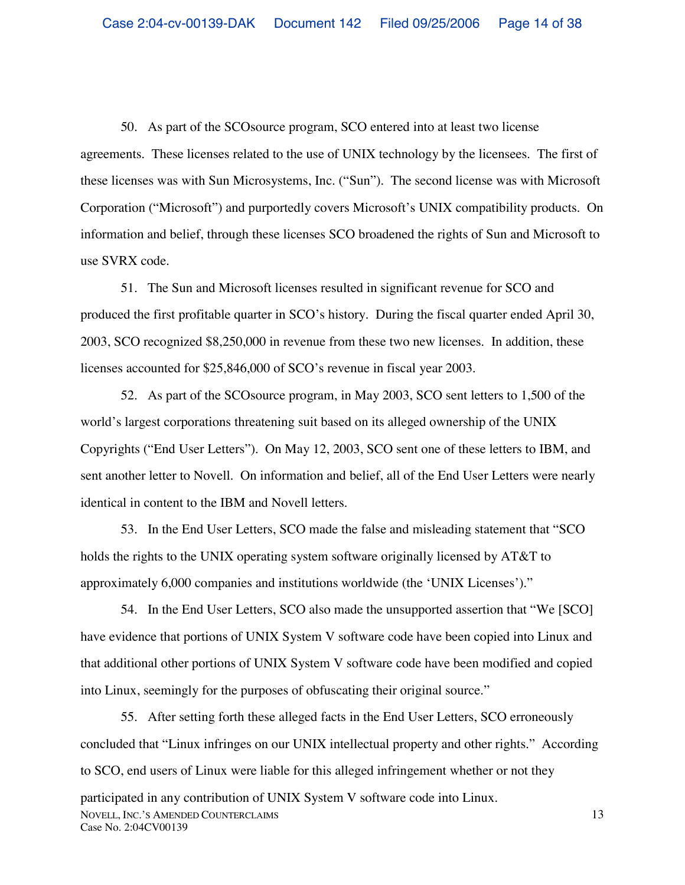50. As part of the SCOsource program, SCO entered into at least two license agreements. These licenses related to the use of UNIX technology by the licensees. The first of these licenses was with Sun Microsystems, Inc. ("Sun"). The second license was with Microsoft Corporation ("Microsoft") and purportedly covers Microsoft's UNIX compatibility products. On information and belief, through these licenses SCO broadened the rights of Sun and Microsoft to use SVRX code.

51. The Sun and Microsoft licenses resulted in significant revenue for SCO and produced the first profitable quarter in SCO's history. During the fiscal quarter ended April 30, 2003, SCO recognized \$8,250,000 in revenue from these two new licenses. In addition, these licenses accounted for \$25,846,000 of SCO's revenue in fiscal year 2003.

52. As part of the SCOsource program, in May 2003, SCO sent letters to 1,500 of the world's largest corporations threatening suit based on its alleged ownership of the UNIX Copyrights ("End User Letters"). On May 12, 2003, SCO sent one of these letters to IBM, and sent another letter to Novell. On information and belief, all of the End User Letters were nearly identical in content to the IBM and Novell letters.

53. In the End User Letters, SCO made the false and misleading statement that "SCO holds the rights to the UNIX operating system software originally licensed by AT&T to approximately 6,000 companies and institutions worldwide (the 'UNIX Licenses')."

54. In the End User Letters, SCO also made the unsupported assertion that "We [SCO] have evidence that portions of UNIX System V software code have been copied into Linux and that additional other portions of UNIX System V software code have been modified and copied into Linux, seemingly for the purposes of obfuscating their original source."

NOVELL, INC.'S AMENDED COUNTERCLAIMS Case No. 2:04CV00139 13 55. After setting forth these alleged facts in the End User Letters, SCO erroneously concluded that "Linux infringes on our UNIX intellectual property and other rights." According to SCO, end users of Linux were liable for this alleged infringement whether or not they participated in any contribution of UNIX System V software code into Linux.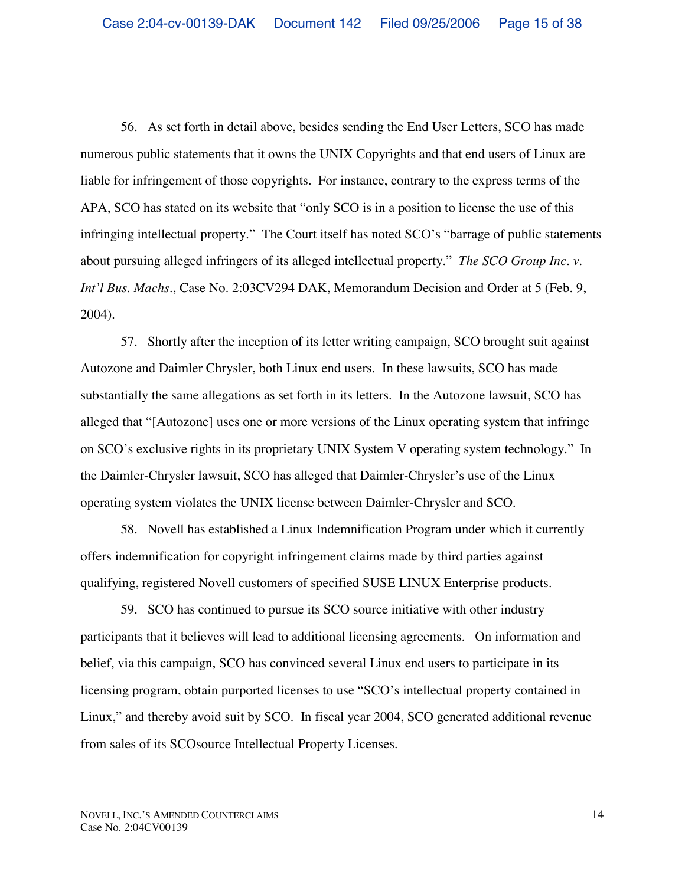56. As set forth in detail above, besides sending the End User Letters, SCO has made numerous public statements that it owns the UNIX Copyrights and that end users of Linux are liable for infringement of those copyrights. For instance, contrary to the express terms of the APA, SCO has stated on its website that "only SCO is in a position to license the use of this infringing intellectual property." The Court itself has noted SCO's "barrage of public statements about pursuing alleged infringers of its alleged intellectual property." *The SCO Group Inc. v. Int'l Bus. Machs.*, Case No. 2:03CV294 DAK, Memorandum Decision and Order at 5 (Feb. 9, 2004).

57. Shortly after the inception of its letter writing campaign, SCO brought suit against Autozone and Daimler Chrysler, both Linux end users. In these lawsuits, SCO has made substantially the same allegations as set forth in its letters. In the Autozone lawsuit, SCO has alleged that "[Autozone] uses one or more versions of the Linux operating system that infringe on SCO's exclusive rights in its proprietary UNIX System V operating system technology." In the Daimler-Chrysler lawsuit, SCO has alleged that Daimler-Chrysler's use of the Linux operating system violates the UNIX license between Daimler-Chrysler and SCO.

58. Novell has established a Linux Indemnification Program under which it currently offers indemnification for copyright infringement claims made by third parties against qualifying, registered Novell customers of specified SUSE LINUX Enterprise products.

59. SCO has continued to pursue its SCO source initiative with other industry participants that it believes will lead to additional licensing agreements. On information and belief, via this campaign, SCO has convinced several Linux end users to participate in its licensing program, obtain purported licenses to use "SCO's intellectual property contained in Linux," and thereby avoid suit by SCO. In fiscal year 2004, SCO generated additional revenue from sales of its SCOsource Intellectual Property Licenses.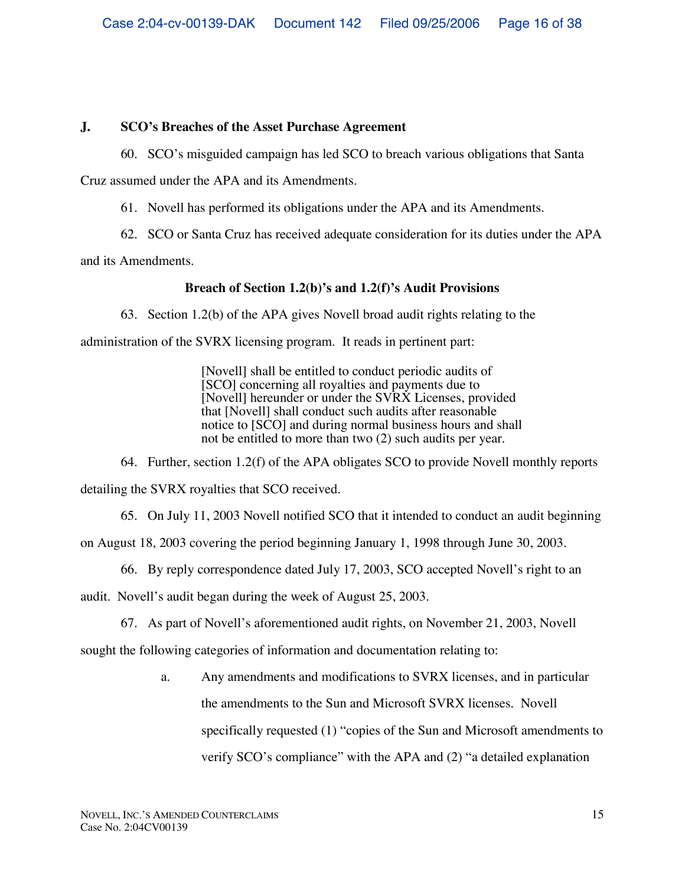# **J. SCO's Breaches of the Asset Purchase Agreement**

60. SCO's misguided campaign has led SCO to breach various obligations that Santa

Cruz assumed under the APA and its Amendments.

61. Novell has performed its obligations under the APA and its Amendments.

62. SCO or Santa Cruz has received adequate consideration for its duties under the APA

and its Amendments.

# **Breach of Section 1.2(b)'s and 1.2(f)'s Audit Provisions**

63. Section 1.2(b) of the APA gives Novell broad audit rights relating to the

administration of the SVRX licensing program. It reads in pertinent part:

[Novell] shall be entitled to conduct periodic audits of [SCO] concerning all royalties and payments due to [Novell] hereunder or under the SVRX Licenses, provided that [Novell] shall conduct such audits after reasonable notice to [SCO] and during normal business hours and shall not be entitled to more than two (2) such audits per year.

64. Further, section 1.2(f) of the APA obligates SCO to provide Novell monthly reports detailing the SVRX royalties that SCO received.

65. On July 11, 2003 Novell notified SCO that it intended to conduct an audit beginning

on August 18, 2003 covering the period beginning January 1, 1998 through June 30, 2003.

66. By reply correspondence dated July 17, 2003, SCO accepted Novell's right to an

audit. Novell's audit began during the week of August 25, 2003.

67. As part of Novell's aforementioned audit rights, on November 21, 2003, Novell

sought the following categories of information and documentation relating to:

a. Any amendments and modifications to SVRX licenses, and in particular the amendments to the Sun and Microsoft SVRX licenses. Novell specifically requested (1) "copies of the Sun and Microsoft amendments to verify SCO's compliance" with the APA and (2) "a detailed explanation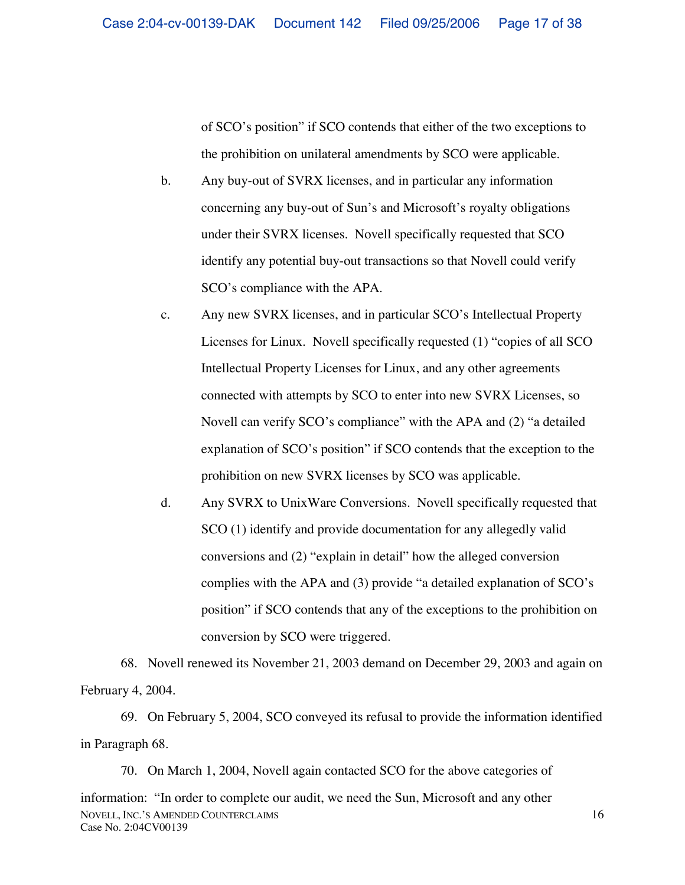of SCO's position" if SCO contends that either of the two exceptions to the prohibition on unilateral amendments by SCO were applicable.

- b. Any buy-out of SVRX licenses, and in particular any information concerning any buy-out of Sun's and Microsoft's royalty obligations under their SVRX licenses. Novell specifically requested that SCO identify any potential buy-out transactions so that Novell could verify SCO's compliance with the APA.
- c. Any new SVRX licenses, and in particular SCO's Intellectual Property Licenses for Linux. Novell specifically requested (1) "copies of all SCO Intellectual Property Licenses for Linux, and any other agreements connected with attempts by SCO to enter into new SVRX Licenses, so Novell can verify SCO's compliance" with the APA and (2) "a detailed explanation of SCO's position" if SCO contends that the exception to the prohibition on new SVRX licenses by SCO was applicable.
- d. Any SVRX to UnixWare Conversions. Novell specifically requested that SCO (1) identify and provide documentation for any allegedly valid conversions and (2) "explain in detail" how the alleged conversion complies with the APA and (3) provide "a detailed explanation of SCO's position" if SCO contends that any of the exceptions to the prohibition on conversion by SCO were triggered.

68. Novell renewed its November 21, 2003 demand on December 29, 2003 and again on February 4, 2004.

69. On February 5, 2004, SCO conveyed its refusal to provide the information identified in Paragraph 68.

NOVELL, INC.'S AMENDED COUNTERCLAIMS Case No. 2:04CV00139 70. On March 1, 2004, Novell again contacted SCO for the above categories of information: "In order to complete our audit, we need the Sun, Microsoft and any other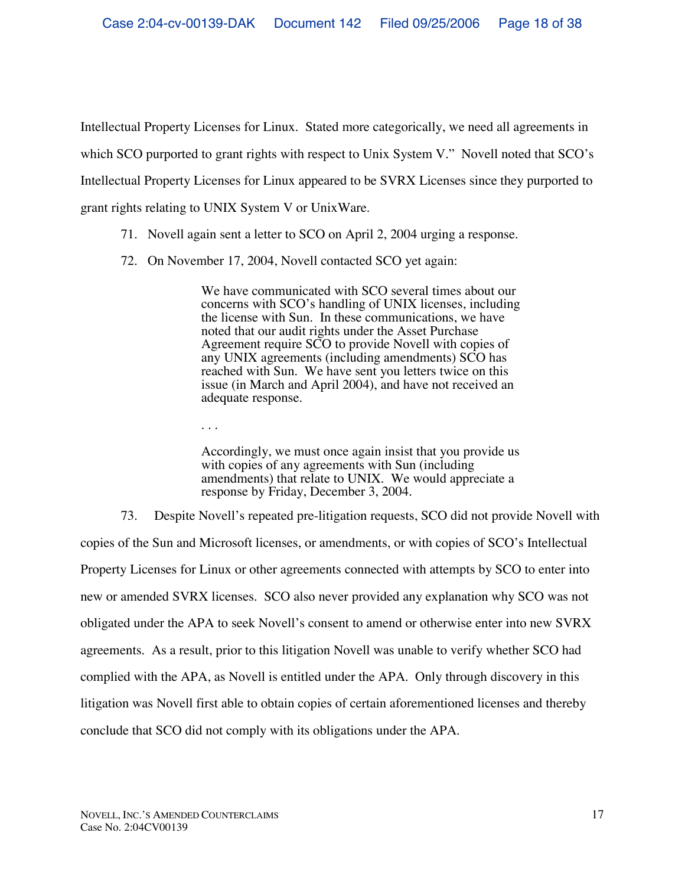Intellectual Property Licenses for Linux. Stated more categorically, we need all agreements in which SCO purported to grant rights with respect to Unix System V." Novell noted that SCO's Intellectual Property Licenses for Linux appeared to be SVRX Licenses since they purported to grant rights relating to UNIX System V or UnixWare.

- 71. Novell again sent a letter to SCO on April 2, 2004 urging a response.
- 72. On November 17, 2004, Novell contacted SCO yet again:

We have communicated with SCO several times about our concerns with SCO's handling of UNIX licenses, including the license with Sun. In these communications, we have noted that our audit rights under the Asset Purchase Agreement require SCO to provide Novell with copies of any UNIX agreements (including amendments) SCO has reached with Sun. We have sent you letters twice on this issue (in March and April 2004), and have not received an adequate response.

. . .

Accordingly, we must once again insist that you provide us with copies of any agreements with Sun (including amendments) that relate to UNIX. We would appreciate a response by Friday, December 3, 2004.

73. Despite Novell's repeated pre-litigation requests, SCO did not provide Novell with copies of the Sun and Microsoft licenses, or amendments, or with copies of SCO's Intellectual Property Licenses for Linux or other agreements connected with attempts by SCO to enter into new or amended SVRX licenses. SCO also never provided any explanation why SCO was not obligated under the APA to seek Novell's consent to amend or otherwise enter into new SVRX agreements. As a result, prior to this litigation Novell was unable to verify whether SCO had complied with the APA, as Novell is entitled under the APA. Only through discovery in this litigation was Novell first able to obtain copies of certain aforementioned licenses and thereby conclude that SCO did not comply with its obligations under the APA.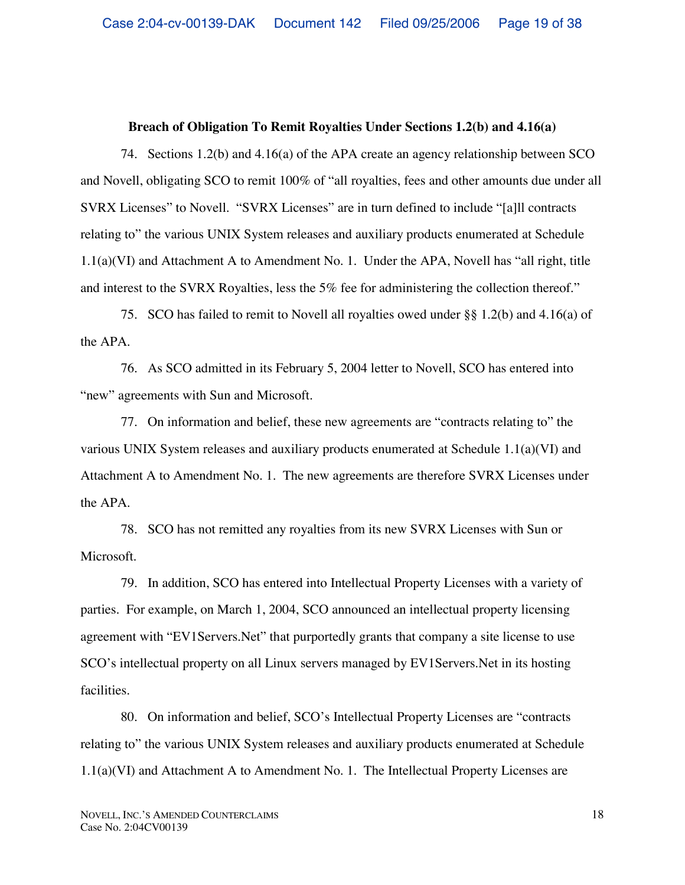### **Breach of Obligation To Remit Royalties Under Sections 1.2(b) and 4.16(a)**

74. Sections 1.2(b) and 4.16(a) of the APA create an agency relationship between SCO and Novell, obligating SCO to remit 100% of "all royalties, fees and other amounts due under all SVRX Licenses" to Novell. "SVRX Licenses" are in turn defined to include "[a]ll contracts relating to" the various UNIX System releases and auxiliary products enumerated at Schedule 1.1(a)(VI) and Attachment A to Amendment No. 1. Under the APA, Novell has "all right, title and interest to the SVRX Royalties, less the 5% fee for administering the collection thereof."

75. SCO has failed to remit to Novell all royalties owed under §§ 1.2(b) and 4.16(a) of the APA.

76. As SCO admitted in its February 5, 2004 letter to Novell, SCO has entered into "new" agreements with Sun and Microsoft.

77. On information and belief, these new agreements are "contracts relating to" the various UNIX System releases and auxiliary products enumerated at Schedule 1.1(a)(VI) and Attachment A to Amendment No. 1. The new agreements are therefore SVRX Licenses under the APA.

78. SCO has not remitted any royalties from its new SVRX Licenses with Sun or Microsoft.

79. In addition, SCO has entered into Intellectual Property Licenses with a variety of parties. For example, on March 1, 2004, SCO announced an intellectual property licensing agreement with "EV1Servers.Net" that purportedly grants that company a site license to use SCO's intellectual property on all Linux servers managed by EV1Servers.Net in its hosting facilities.

80. On information and belief, SCO's Intellectual Property Licenses are "contracts relating to" the various UNIX System releases and auxiliary products enumerated at Schedule  $1.1(a)(VI)$  and Attachment A to Amendment No. 1. The Intellectual Property Licenses are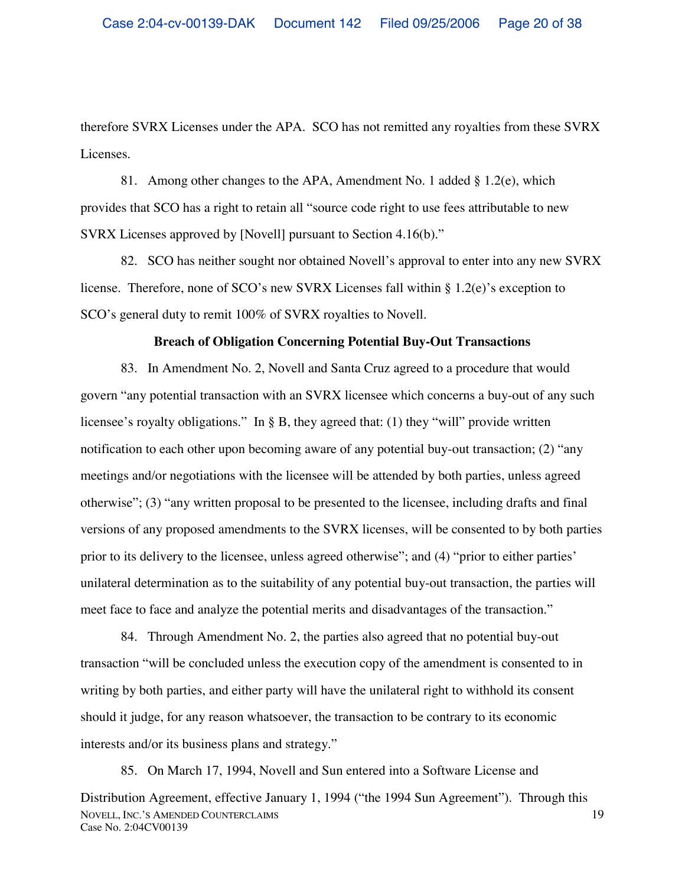therefore SVRX Licenses under the APA. SCO has not remitted any royalties from these SVRX Licenses.

81. Among other changes to the APA, Amendment No. 1 added § 1.2(e), which provides that SCO has a right to retain all "source code right to use fees attributable to new SVRX Licenses approved by [Novell] pursuant to Section 4.16(b)."

82. SCO has neither sought nor obtained Novell's approval to enter into any new SVRX license. Therefore, none of SCO's new SVRX Licenses fall within § 1.2(e)'s exception to SCO's general duty to remit 100% of SVRX royalties to Novell.

#### **Breach of Obligation Concerning Potential Buy-Out Transactions**

83. In Amendment No. 2, Novell and Santa Cruz agreed to a procedure that would govern "any potential transaction with an SVRX licensee which concerns a buy-out of any such licensee's royalty obligations." In § B, they agreed that: (1) they "will" provide written notification to each other upon becoming aware of any potential buy-out transaction; (2) "any meetings and/or negotiations with the licensee will be attended by both parties, unless agreed otherwise"; (3) "any written proposal to be presented to the licensee, including drafts and final versions of any proposed amendments to the SVRX licenses, will be consented to by both parties prior to its delivery to the licensee, unless agreed otherwise"; and (4) "prior to either parties' unilateral determination as to the suitability of any potential buy-out transaction, the parties will meet face to face and analyze the potential merits and disadvantages of the transaction."

84. Through Amendment No. 2, the parties also agreed that no potential buy-out transaction "will be concluded unless the execution copy of the amendment is consented to in writing by both parties, and either party will have the unilateral right to withhold its consent should it judge, for any reason whatsoever, the transaction to be contrary to its economic interests and/or its business plans and strategy."

NOVELL, INC.'S AMENDED COUNTERCLAIMS Case No. 2:04CV00139 19 85. On March 17, 1994, Novell and Sun entered into a Software License and Distribution Agreement, effective January 1, 1994 ("the 1994 Sun Agreement"). Through this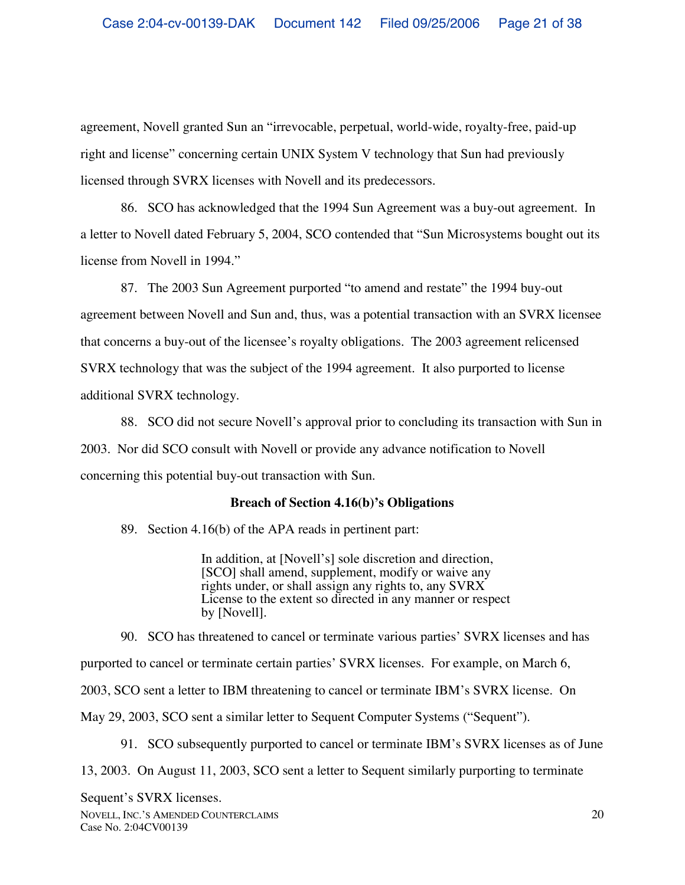agreement, Novell granted Sun an "irrevocable, perpetual, world-wide, royalty-free, paid-up right and license" concerning certain UNIX System V technology that Sun had previously licensed through SVRX licenses with Novell and its predecessors.

86. SCO has acknowledged that the 1994 Sun Agreement was a buy-out agreement. In a letter to Novell dated February 5, 2004, SCO contended that "Sun Microsystems bought out its license from Novell in 1994."

87. The 2003 Sun Agreement purported "to amend and restate" the 1994 buy-out agreement between Novell and Sun and, thus, was a potential transaction with an SVRX licensee that concerns a buy-out of the licensee's royalty obligations. The 2003 agreement relicensed SVRX technology that was the subject of the 1994 agreement. It also purported to license additional SVRX technology.

88. SCO did not secure Novell's approval prior to concluding its transaction with Sun in 2003. Nor did SCO consult with Novell or provide any advance notification to Novell concerning this potential buy-out transaction with Sun.

#### **Breach of Section 4.16(b)'s Obligations**

89. Section 4.16(b) of the APA reads in pertinent part:

In addition, at [Novell's] sole discretion and direction, [SCO] shall amend, supplement, modify or waive any rights under, or shall assign any rights to, any SVRX License to the extent so directed in any manner or respect by [Novell].

90. SCO has threatened to cancel or terminate various parties' SVRX licenses and has purported to cancel or terminate certain parties' SVRX licenses. For example, on March 6, 2003, SCO sent a letter to IBM threatening to cancel or terminate IBM's SVRX license. On May 29, 2003, SCO sent a similar letter to Sequent Computer Systems ("Sequent").

91. SCO subsequently purported to cancel or terminate IBM's SVRX licenses as of June

13, 2003. On August 11, 2003, SCO sent a letter to Sequent similarly purporting to terminate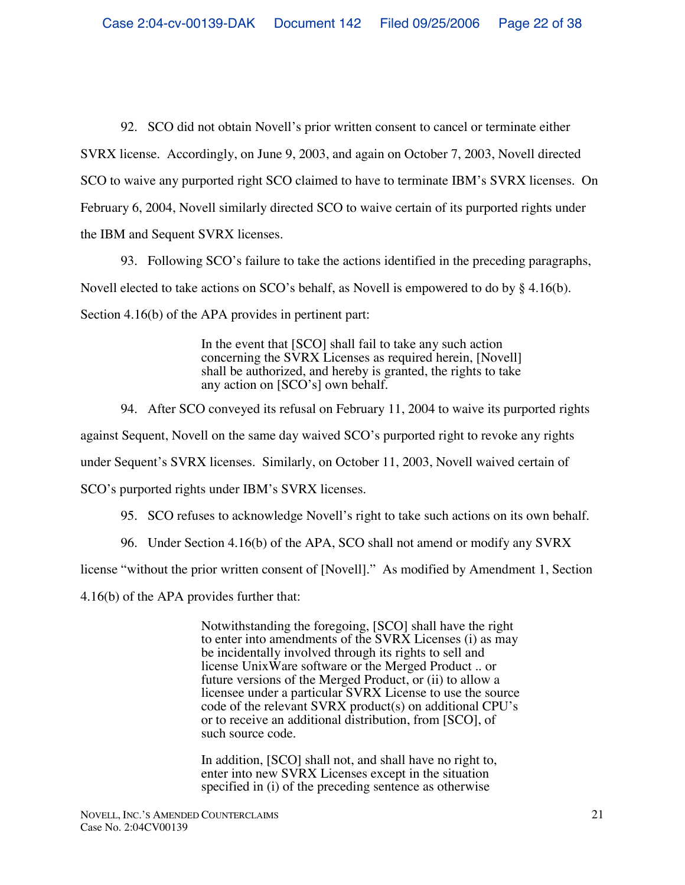92. SCO did not obtain Novell's prior written consent to cancel or terminate either SVRX license. Accordingly, on June 9, 2003, and again on October 7, 2003, Novell directed SCO to waive any purported right SCO claimed to have to terminate IBM's SVRX licenses. On February 6, 2004, Novell similarly directed SCO to waive certain of its purported rights under the IBM and Sequent SVRX licenses.

93. Following SCO's failure to take the actions identified in the preceding paragraphs, Novell elected to take actions on SCO's behalf, as Novell is empowered to do by § 4.16(b). Section 4.16(b) of the APA provides in pertinent part:

> In the event that [SCO] shall fail to take any such action concerning the SVRX Licenses as required herein, [Novell] shall be authorized, and hereby is granted, the rights to take any action on [SCO's] own behalf.

94. After SCO conveyed its refusal on February 11, 2004 to waive its purported rights against Sequent, Novell on the same day waived SCO's purported right to revoke any rights under Sequent's SVRX licenses. Similarly, on October 11, 2003, Novell waived certain of SCO's purported rights under IBM's SVRX licenses.

- 95. SCO refuses to acknowledge Novell's right to take such actions on its own behalf.
- 96. Under Section 4.16(b) of the APA, SCO shall not amend or modify any SVRX

license "without the prior written consent of [Novell]." As modified by Amendment 1, Section

4.16(b) of the APA provides further that:

Notwithstanding the foregoing, [SCO] shall have the right to enter into amendments of the SVRX Licenses (i) as may be incidentally involved through its rights to sell and license UnixWare software or the Merged Product .. or future versions of the Merged Product, or (ii) to allow a licensee under a particular SVRX License to use the source code of the relevant SVRX product(s) on additional CPU's or to receive an additional distribution, from [SCO], of such source code.

In addition, [SCO] shall not, and shall have no right to, enter into new SVRX Licenses except in the situation specified in (i) of the preceding sentence as otherwise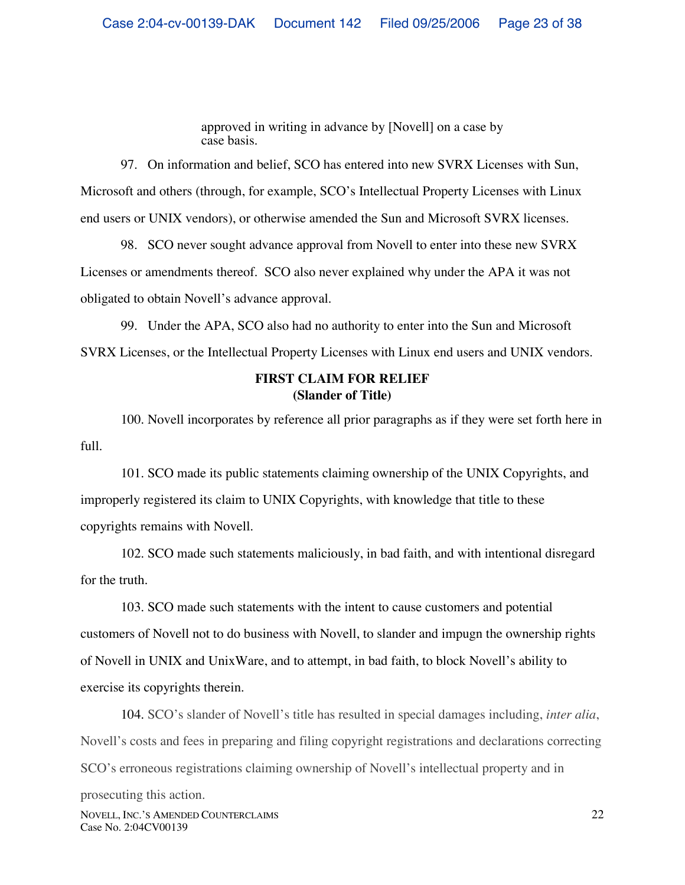approved in writing in advance by [Novell] on a case by case basis.

97. On information and belief, SCO has entered into new SVRX Licenses with Sun, Microsoft and others (through, for example, SCO's Intellectual Property Licenses with Linux end users or UNIX vendors), or otherwise amended the Sun and Microsoft SVRX licenses.

98. SCO never sought advance approval from Novell to enter into these new SVRX Licenses or amendments thereof. SCO also never explained why under the APA it was not obligated to obtain Novell's advance approval.

99. Under the APA, SCO also had no authority to enter into the Sun and Microsoft SVRX Licenses, or the Intellectual Property Licenses with Linux end users and UNIX vendors.

# **FIRST CLAIM FOR RELIEF (Slander of Title)**

100. Novell incorporates by reference all prior paragraphs as if they were set forth here in full.

101. SCO made its public statements claiming ownership of the UNIX Copyrights, and improperly registered its claim to UNIX Copyrights, with knowledge that title to these copyrights remains with Novell.

102. SCO made such statements maliciously, in bad faith, and with intentional disregard for the truth.

103. SCO made such statements with the intent to cause customers and potential customers of Novell not to do business with Novell, to slander and impugn the ownership rights of Novell in UNIX and UnixWare, and to attempt, in bad faith, to block Novell's ability to exercise its copyrights therein.

104. SCO's slander of Novell's title has resulted in special damages including, *inter alia*, Novell's costs and fees in preparing and filing copyright registrations and declarations correcting SCO's erroneous registrations claiming ownership of Novell's intellectual property and in

NOVELL, INC.'S AMENDED COUNTERCLAIMS Case No. 2:04CV00139 prosecuting this action.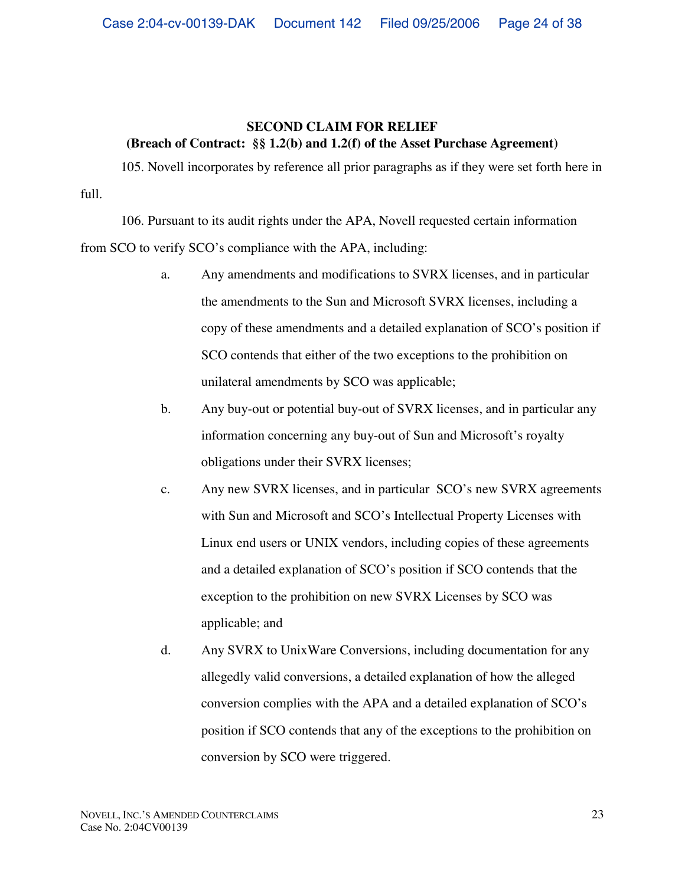# **SECOND CLAIM FOR RELIEF (Breach of Contract: §§ 1.2(b) and 1.2(f) of the Asset Purchase Agreement)**

105. Novell incorporates by reference all prior paragraphs as if they were set forth here in full.

106. Pursuant to its audit rights under the APA, Novell requested certain information from SCO to verify SCO's compliance with the APA, including:

- a. Any amendments and modifications to SVRX licenses, and in particular the amendments to the Sun and Microsoft SVRX licenses, including a copy of these amendments and a detailed explanation of SCO's position if SCO contends that either of the two exceptions to the prohibition on unilateral amendments by SCO was applicable;
- b. Any buy-out or potential buy-out of SVRX licenses, and in particular any information concerning any buy-out of Sun and Microsoft's royalty obligations under their SVRX licenses;
- c. Any new SVRX licenses, and in particular SCO's new SVRX agreements with Sun and Microsoft and SCO's Intellectual Property Licenses with Linux end users or UNIX vendors, including copies of these agreements and a detailed explanation of SCO's position if SCO contends that the exception to the prohibition on new SVRX Licenses by SCO was applicable; and
- d. Any SVRX to UnixWare Conversions, including documentation for any allegedly valid conversions, a detailed explanation of how the alleged conversion complies with the APA and a detailed explanation of SCO's position if SCO contends that any of the exceptions to the prohibition on conversion by SCO were triggered.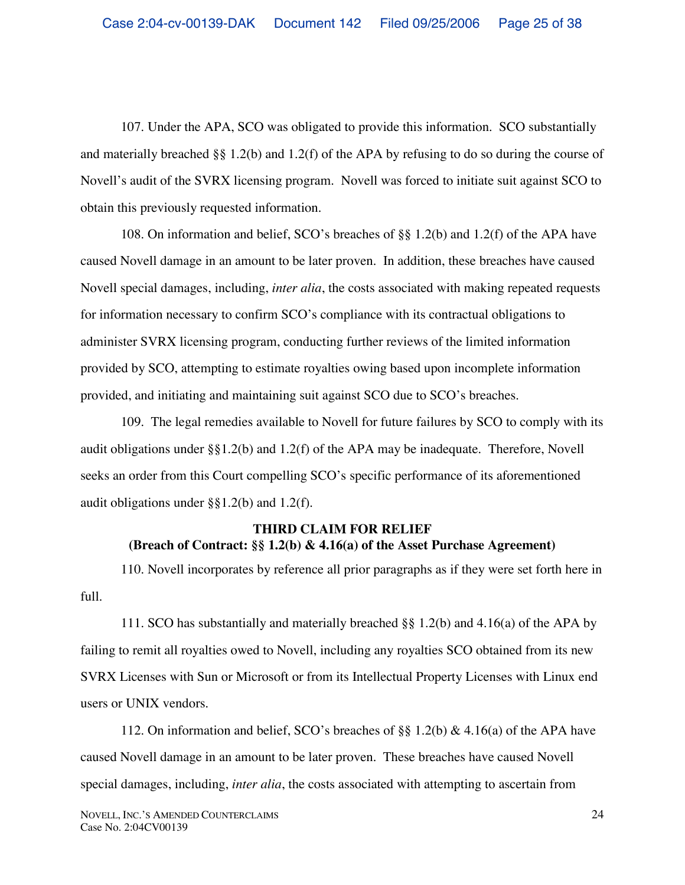107. Under the APA, SCO was obligated to provide this information. SCO substantially and materially breached §§ 1.2(b) and 1.2(f) of the APA by refusing to do so during the course of Novell's audit of the SVRX licensing program. Novell was forced to initiate suit against SCO to obtain this previously requested information.

108. On information and belief, SCO's breaches of §§ 1.2(b) and 1.2(f) of the APA have caused Novell damage in an amount to be later proven. In addition, these breaches have caused Novell special damages, including, *inter alia*, the costs associated with making repeated requests for information necessary to confirm SCO's compliance with its contractual obligations to administer SVRX licensing program, conducting further reviews of the limited information provided by SCO, attempting to estimate royalties owing based upon incomplete information provided, and initiating and maintaining suit against SCO due to SCO's breaches.

109. The legal remedies available to Novell for future failures by SCO to comply with its audit obligations under §§1.2(b) and 1.2(f) of the APA may be inadequate. Therefore, Novell seeks an order from this Court compelling SCO's specific performance of its aforementioned audit obligations under §§1.2(b) and 1.2(f).

# **THIRD CLAIM FOR RELIEF (Breach of Contract: §§ 1.2(b) & 4.16(a) of the Asset Purchase Agreement)**

110. Novell incorporates by reference all prior paragraphs as if they were set forth here in full.

111. SCO has substantially and materially breached §§ 1.2(b) and 4.16(a) of the APA by failing to remit all royalties owed to Novell, including any royalties SCO obtained from its new SVRX Licenses with Sun or Microsoft or from its Intellectual Property Licenses with Linux end users or UNIX vendors.

112. On information and belief, SCO's breaches of §§ 1.2(b) & 4.16(a) of the APA have caused Novell damage in an amount to be later proven. These breaches have caused Novell special damages, including, *inter alia*, the costs associated with attempting to ascertain from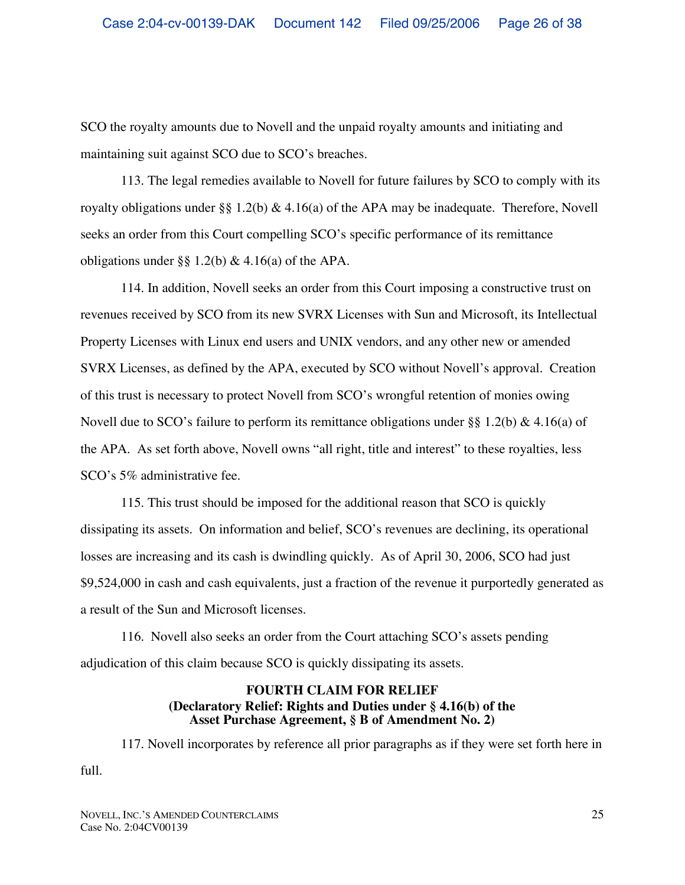SCO the royalty amounts due to Novell and the unpaid royalty amounts and initiating and maintaining suit against SCO due to SCO's breaches.

113. The legal remedies available to Novell for future failures by SCO to comply with its royalty obligations under §§ 1.2(b) & 4.16(a) of the APA may be inadequate. Therefore, Novell seeks an order from this Court compelling SCO's specific performance of its remittance obligations under §§ 1.2(b) & 4.16(a) of the APA.

114. In addition, Novell seeks an order from this Court imposing a constructive trust on revenues received by SCO from its new SVRX Licenses with Sun and Microsoft, its Intellectual Property Licenses with Linux end users and UNIX vendors, and any other new or amended SVRX Licenses, as defined by the APA, executed by SCO without Novell's approval. Creation of this trust is necessary to protect Novell from SCO's wrongful retention of monies owing Novell due to SCO's failure to perform its remittance obligations under §§ 1.2(b) & 4.16(a) of the APA. As set forth above, Novell owns "all right, title and interest" to these royalties, less SCO's 5% administrative fee.

115. This trust should be imposed for the additional reason that SCO is quickly dissipating its assets. On information and belief, SCO's revenues are declining, its operational losses are increasing and its cash is dwindling quickly. As of April 30, 2006, SCO had just \$9,524,000 in cash and cash equivalents, just a fraction of the revenue it purportedly generated as a result of the Sun and Microsoft licenses.

116. Novell also seeks an order from the Court attaching SCO's assets pending adjudication of this claim because SCO is quickly dissipating its assets.

## **FOURTH CLAIM FOR RELIEF (Declaratory Relief: Rights and Duties under § 4.16(b) of the Asset Purchase Agreement, § B of Amendment No. 2)**

117. Novell incorporates by reference all prior paragraphs as if they were set forth here in full.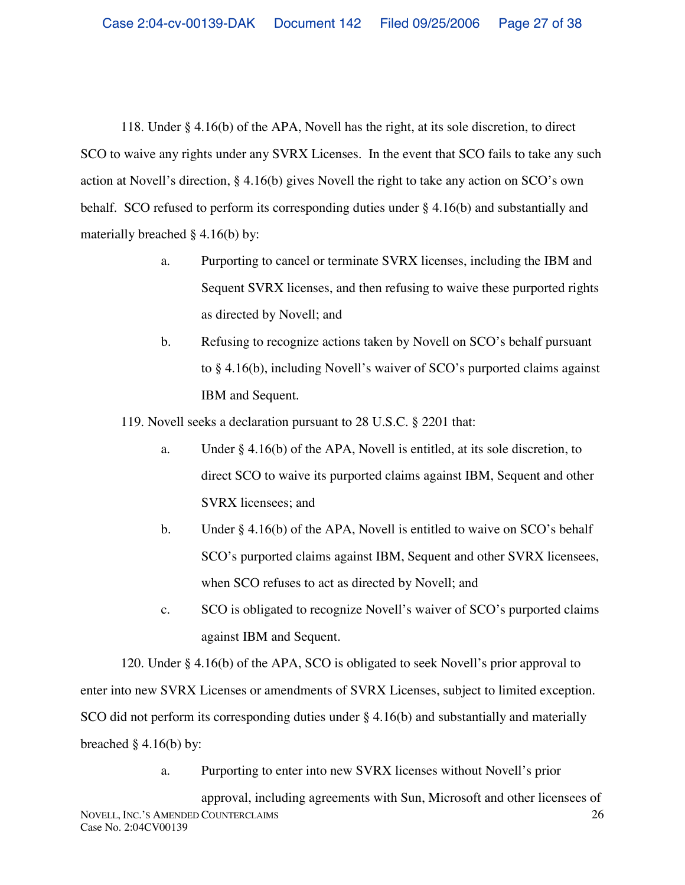118. Under § 4.16(b) of the APA, Novell has the right, at its sole discretion, to direct SCO to waive any rights under any SVRX Licenses. In the event that SCO fails to take any such action at Novell's direction, § 4.16(b) gives Novell the right to take any action on SCO's own behalf. SCO refused to perform its corresponding duties under § 4.16(b) and substantially and materially breached § 4.16(b) by:

- a. Purporting to cancel or terminate SVRX licenses, including the IBM and Sequent SVRX licenses, and then refusing to waive these purported rights as directed by Novell; and
- b. Refusing to recognize actions taken by Novell on SCO's behalf pursuant to § 4.16(b), including Novell's waiver of SCO's purported claims against IBM and Sequent.

119. Novell seeks a declaration pursuant to 28 U.S.C. § 2201 that:

- a. Under § 4.16(b) of the APA, Novell is entitled, at its sole discretion, to direct SCO to waive its purported claims against IBM, Sequent and other SVRX licensees; and
- b. Under  $\S 4.16(b)$  of the APA, Novell is entitled to waive on SCO's behalf SCO's purported claims against IBM, Sequent and other SVRX licensees, when SCO refuses to act as directed by Novell; and
- c. SCO is obligated to recognize Novell's waiver of SCO's purported claims against IBM and Sequent.

120. Under § 4.16(b) of the APA, SCO is obligated to seek Novell's prior approval to enter into new SVRX Licenses or amendments of SVRX Licenses, subject to limited exception. SCO did not perform its corresponding duties under § 4.16(b) and substantially and materially breached  $\S$  4.16(b) by:

a. Purporting to enter into new SVRX licenses without Novell's prior

NOVELL, INC.'S AMENDED COUNTERCLAIMS Case No. 2:04CV00139 26 approval, including agreements with Sun, Microsoft and other licensees of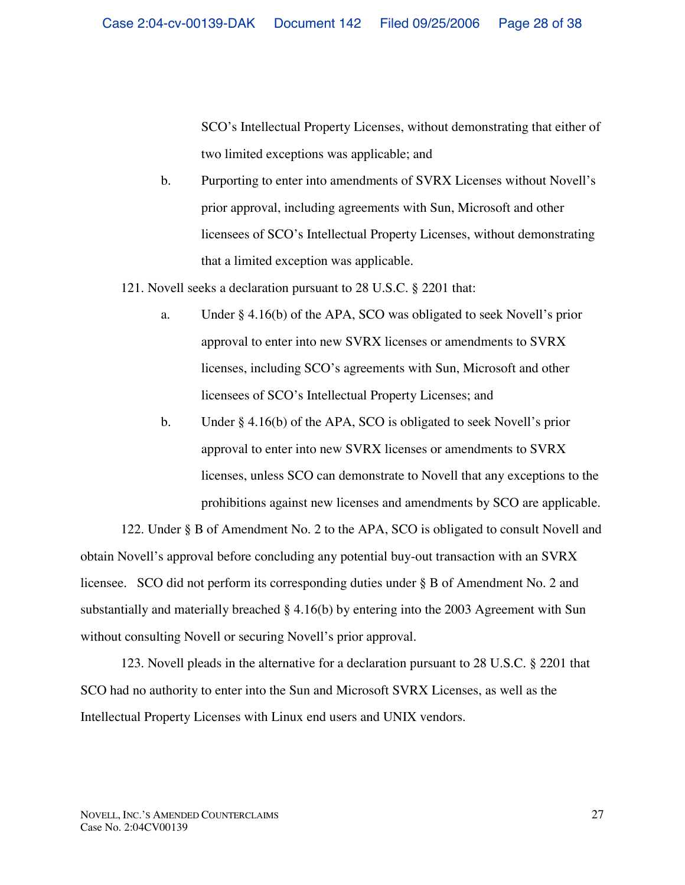SCO's Intellectual Property Licenses, without demonstrating that either of two limited exceptions was applicable; and

b. Purporting to enter into amendments of SVRX Licenses without Novell's prior approval, including agreements with Sun, Microsoft and other licensees of SCO's Intellectual Property Licenses, without demonstrating that a limited exception was applicable.

121. Novell seeks a declaration pursuant to 28 U.S.C. § 2201 that:

- a. Under § 4.16(b) of the APA, SCO was obligated to seek Novell's prior approval to enter into new SVRX licenses or amendments to SVRX licenses, including SCO's agreements with Sun, Microsoft and other licensees of SCO's Intellectual Property Licenses; and
- b. Under § 4.16(b) of the APA, SCO is obligated to seek Novell's prior approval to enter into new SVRX licenses or amendments to SVRX licenses, unless SCO can demonstrate to Novell that any exceptions to the prohibitions against new licenses and amendments by SCO are applicable.

122. Under § B of Amendment No. 2 to the APA, SCO is obligated to consult Novell and obtain Novell's approval before concluding any potential buy-out transaction with an SVRX licensee. SCO did not perform its corresponding duties under § B of Amendment No. 2 and substantially and materially breached § 4.16(b) by entering into the 2003 Agreement with Sun without consulting Novell or securing Novell's prior approval.

123. Novell pleads in the alternative for a declaration pursuant to 28 U.S.C. § 2201 that SCO had no authority to enter into the Sun and Microsoft SVRX Licenses, as well as the Intellectual Property Licenses with Linux end users and UNIX vendors.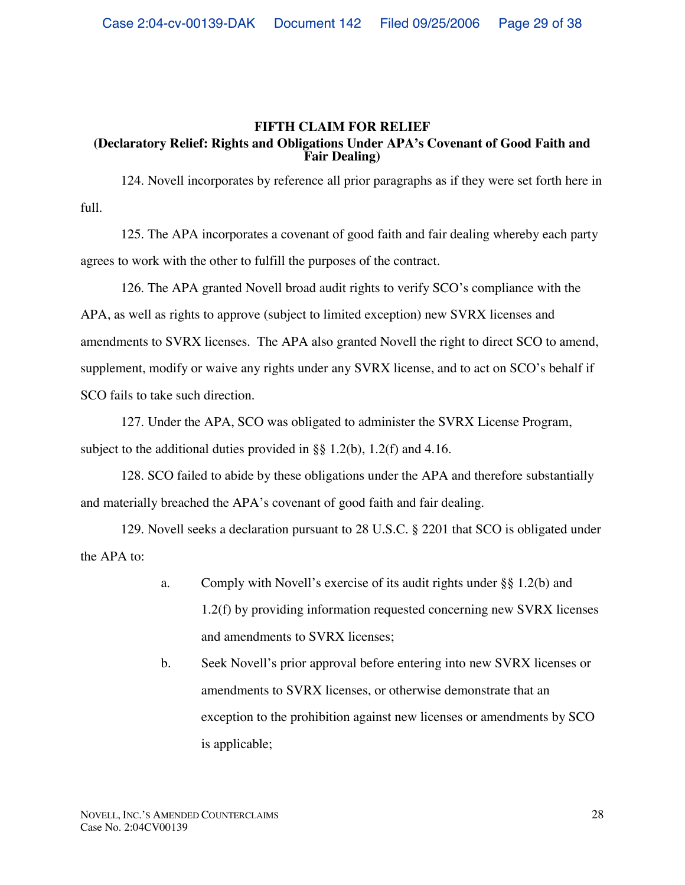### **FIFTH CLAIM FOR RELIEF (Declaratory Relief: Rights and Obligations Under APA's Covenant of Good Faith and Fair Dealing)**

124. Novell incorporates by reference all prior paragraphs as if they were set forth here in full.

125. The APA incorporates a covenant of good faith and fair dealing whereby each party agrees to work with the other to fulfill the purposes of the contract.

126. The APA granted Novell broad audit rights to verify SCO's compliance with the APA, as well as rights to approve (subject to limited exception) new SVRX licenses and amendments to SVRX licenses. The APA also granted Novell the right to direct SCO to amend, supplement, modify or waive any rights under any SVRX license, and to act on SCO's behalf if SCO fails to take such direction.

127. Under the APA, SCO was obligated to administer the SVRX License Program, subject to the additional duties provided in §§ 1.2(b), 1.2(f) and 4.16.

128. SCO failed to abide by these obligations under the APA and therefore substantially and materially breached the APA's covenant of good faith and fair dealing.

129. Novell seeks a declaration pursuant to 28 U.S.C. § 2201 that SCO is obligated under the APA to:

- a. Comply with Novell's exercise of its audit rights under §§ 1.2(b) and 1.2(f) by providing information requested concerning new SVRX licenses and amendments to SVRX licenses;
- b. Seek Novell's prior approval before entering into new SVRX licenses or amendments to SVRX licenses, or otherwise demonstrate that an exception to the prohibition against new licenses or amendments by SCO is applicable;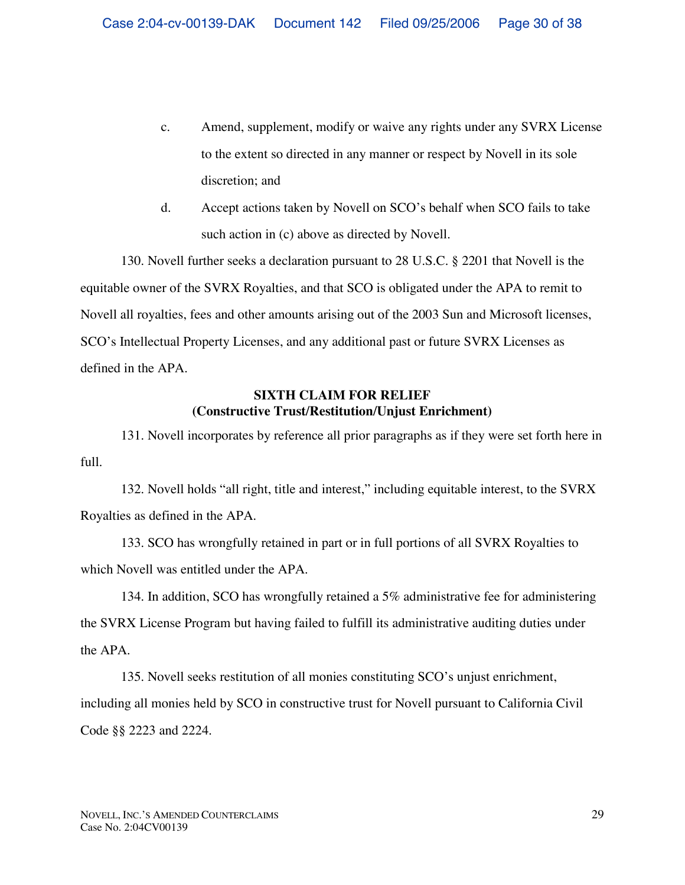- c. Amend, supplement, modify or waive any rights under any SVRX License to the extent so directed in any manner or respect by Novell in its sole discretion; and
- d. Accept actions taken by Novell on SCO's behalf when SCO fails to take such action in (c) above as directed by Novell.

130. Novell further seeks a declaration pursuant to 28 U.S.C. § 2201 that Novell is the equitable owner of the SVRX Royalties, and that SCO is obligated under the APA to remit to Novell all royalties, fees and other amounts arising out of the 2003 Sun and Microsoft licenses, SCO's Intellectual Property Licenses, and any additional past or future SVRX Licenses as defined in the APA.

# **SIXTH CLAIM FOR RELIEF (Constructive Trust/Restitution/Unjust Enrichment)**

131. Novell incorporates by reference all prior paragraphs as if they were set forth here in full.

132. Novell holds "all right, title and interest," including equitable interest, to the SVRX Royalties as defined in the APA.

133. SCO has wrongfully retained in part or in full portions of all SVRX Royalties to which Novell was entitled under the APA.

134. In addition, SCO has wrongfully retained a 5% administrative fee for administering the SVRX License Program but having failed to fulfill its administrative auditing duties under the APA.

135. Novell seeks restitution of all monies constituting SCO's unjust enrichment, including all monies held by SCO in constructive trust for Novell pursuant to California Civil Code §§ 2223 and 2224.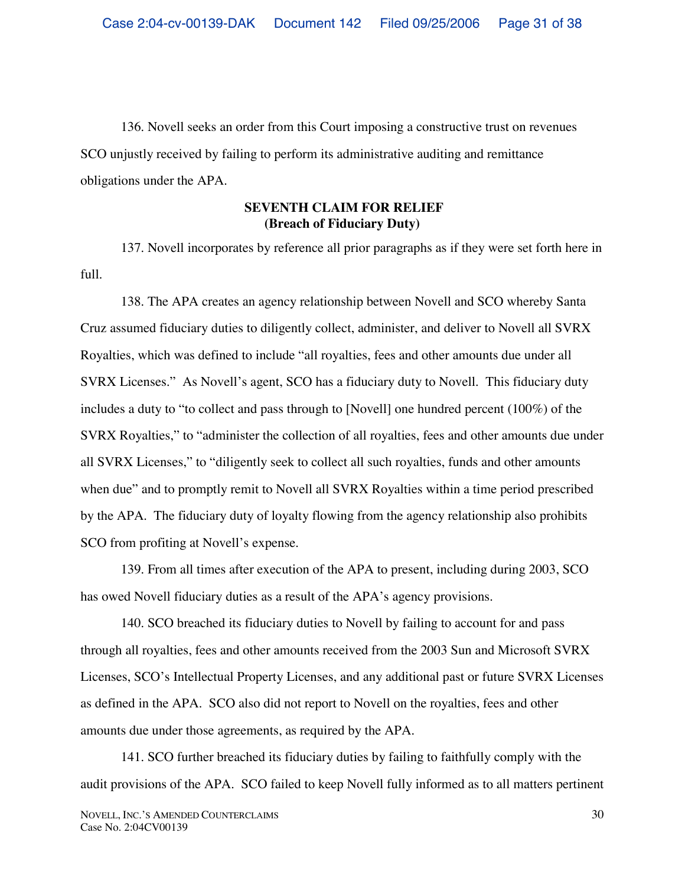136. Novell seeks an order from this Court imposing a constructive trust on revenues SCO unjustly received by failing to perform its administrative auditing and remittance obligations under the APA.

## **SEVENTH CLAIM FOR RELIEF (Breach of Fiduciary Duty)**

137. Novell incorporates by reference all prior paragraphs as if they were set forth here in full.

138. The APA creates an agency relationship between Novell and SCO whereby Santa Cruz assumed fiduciary duties to diligently collect, administer, and deliver to Novell all SVRX Royalties, which was defined to include "all royalties, fees and other amounts due under all SVRX Licenses." As Novell's agent, SCO has a fiduciary duty to Novell. This fiduciary duty includes a duty to "to collect and pass through to [Novell] one hundred percent (100%) of the SVRX Royalties," to "administer the collection of all royalties, fees and other amounts due under all SVRX Licenses," to "diligently seek to collect all such royalties, funds and other amounts when due" and to promptly remit to Novell all SVRX Royalties within a time period prescribed by the APA. The fiduciary duty of loyalty flowing from the agency relationship also prohibits SCO from profiting at Novell's expense.

139. From all times after execution of the APA to present, including during 2003, SCO has owed Novell fiduciary duties as a result of the APA's agency provisions.

140. SCO breached its fiduciary duties to Novell by failing to account for and pass through all royalties, fees and other amounts received from the 2003 Sun and Microsoft SVRX Licenses, SCO's Intellectual Property Licenses, and any additional past or future SVRX Licenses as defined in the APA. SCO also did not report to Novell on the royalties, fees and other amounts due under those agreements, as required by the APA.

141. SCO further breached its fiduciary duties by failing to faithfully comply with the audit provisions of the APA. SCO failed to keep Novell fully informed as to all matters pertinent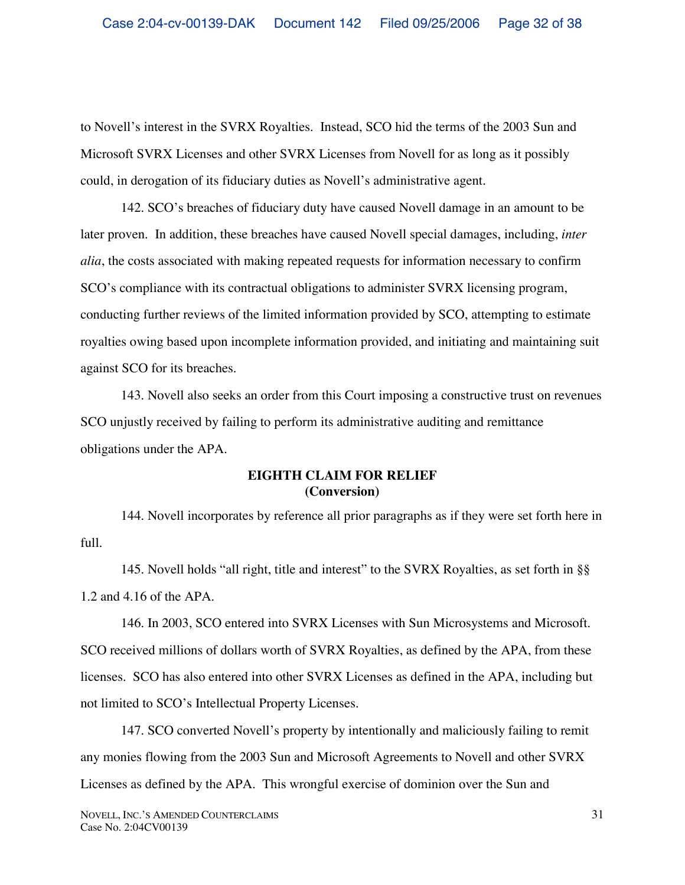to Novell's interest in the SVRX Royalties. Instead, SCO hid the terms of the 2003 Sun and Microsoft SVRX Licenses and other SVRX Licenses from Novell for as long as it possibly could, in derogation of its fiduciary duties as Novell's administrative agent.

142. SCO's breaches of fiduciary duty have caused Novell damage in an amount to be later proven. In addition, these breaches have caused Novell special damages, including, *inter alia*, the costs associated with making repeated requests for information necessary to confirm SCO's compliance with its contractual obligations to administer SVRX licensing program, conducting further reviews of the limited information provided by SCO, attempting to estimate royalties owing based upon incomplete information provided, and initiating and maintaining suit against SCO for its breaches.

143. Novell also seeks an order from this Court imposing a constructive trust on revenues SCO unjustly received by failing to perform its administrative auditing and remittance obligations under the APA.

# **EIGHTH CLAIM FOR RELIEF (Conversion)**

144. Novell incorporates by reference all prior paragraphs as if they were set forth here in full.

145. Novell holds "all right, title and interest" to the SVRX Royalties, as set forth in §§ 1.2 and 4.16 of the APA.

146. In 2003, SCO entered into SVRX Licenses with Sun Microsystems and Microsoft. SCO received millions of dollars worth of SVRX Royalties, as defined by the APA, from these licenses. SCO has also entered into other SVRX Licenses as defined in the APA, including but not limited to SCO's Intellectual Property Licenses.

147. SCO converted Novell's property by intentionally and maliciously failing to remit any monies flowing from the 2003 Sun and Microsoft Agreements to Novell and other SVRX Licenses as defined by the APA. This wrongful exercise of dominion over the Sun and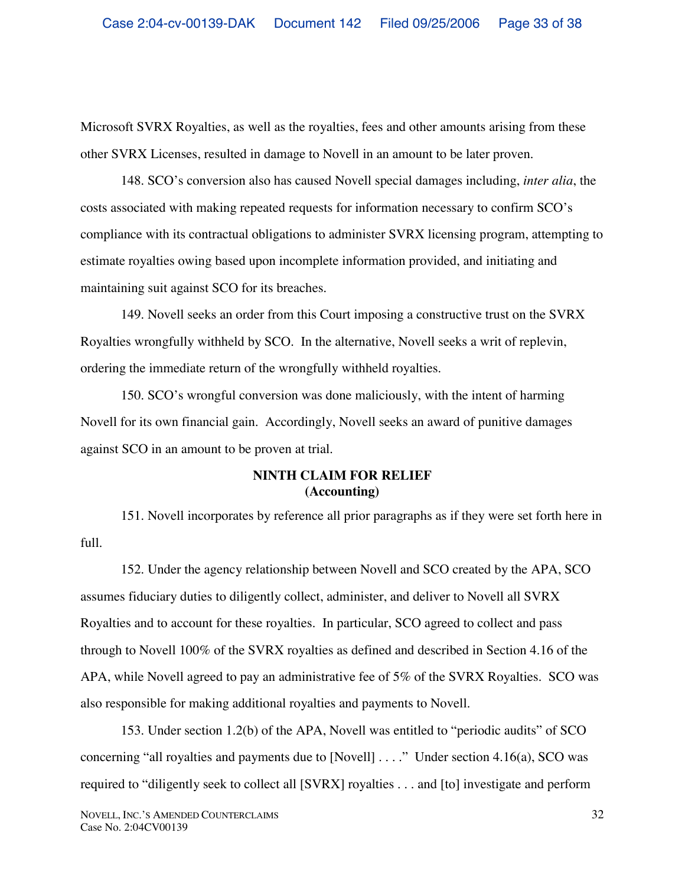Microsoft SVRX Royalties, as well as the royalties, fees and other amounts arising from these other SVRX Licenses, resulted in damage to Novell in an amount to be later proven.

148. SCO's conversion also has caused Novell special damages including, *inter alia*, the costs associated with making repeated requests for information necessary to confirm SCO's compliance with its contractual obligations to administer SVRX licensing program, attempting to estimate royalties owing based upon incomplete information provided, and initiating and maintaining suit against SCO for its breaches.

149. Novell seeks an order from this Court imposing a constructive trust on the SVRX Royalties wrongfully withheld by SCO. In the alternative, Novell seeks a writ of replevin, ordering the immediate return of the wrongfully withheld royalties.

150. SCO's wrongful conversion was done maliciously, with the intent of harming Novell for its own financial gain. Accordingly, Novell seeks an award of punitive damages against SCO in an amount to be proven at trial.

# **NINTH CLAIM FOR RELIEF (Accounting)**

151. Novell incorporates by reference all prior paragraphs as if they were set forth here in full.

152. Under the agency relationship between Novell and SCO created by the APA, SCO assumes fiduciary duties to diligently collect, administer, and deliver to Novell all SVRX Royalties and to account for these royalties. In particular, SCO agreed to collect and pass through to Novell 100% of the SVRX royalties as defined and described in Section 4.16 of the APA, while Novell agreed to pay an administrative fee of 5% of the SVRX Royalties. SCO was also responsible for making additional royalties and payments to Novell.

153. Under section 1.2(b) of the APA, Novell was entitled to "periodic audits" of SCO concerning "all royalties and payments due to [Novell] . . . ." Under section 4.16(a), SCO was required to "diligently seek to collect all [SVRX] royalties . . . and [to] investigate and perform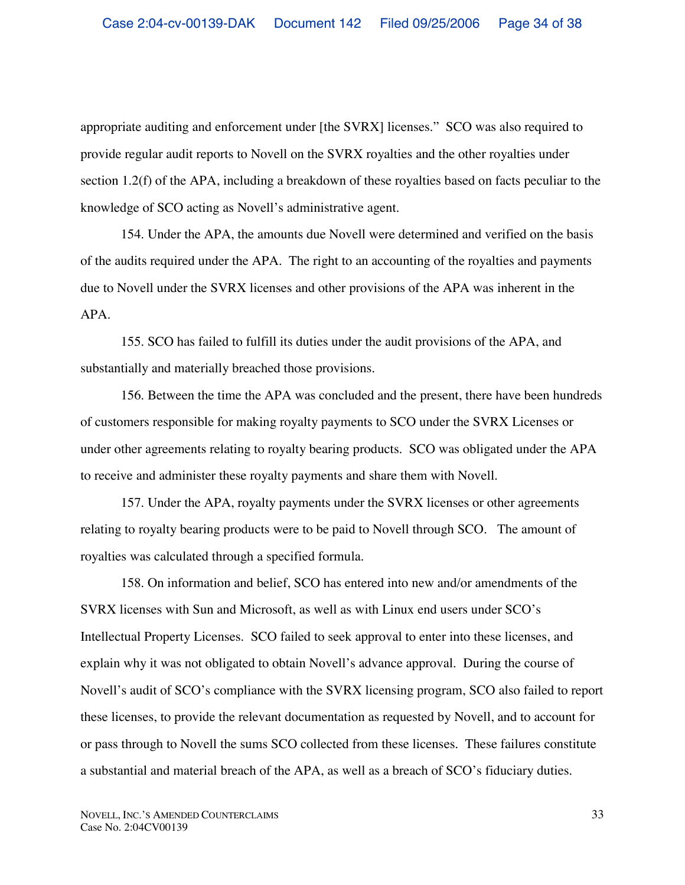appropriate auditing and enforcement under [the SVRX] licenses." SCO was also required to provide regular audit reports to Novell on the SVRX royalties and the other royalties under section 1.2(f) of the APA, including a breakdown of these royalties based on facts peculiar to the knowledge of SCO acting as Novell's administrative agent.

154. Under the APA, the amounts due Novell were determined and verified on the basis of the audits required under the APA. The right to an accounting of the royalties and payments due to Novell under the SVRX licenses and other provisions of the APA was inherent in the APA.

155. SCO has failed to fulfill its duties under the audit provisions of the APA, and substantially and materially breached those provisions.

156. Between the time the APA was concluded and the present, there have been hundreds of customers responsible for making royalty payments to SCO under the SVRX Licenses or under other agreements relating to royalty bearing products. SCO was obligated under the APA to receive and administer these royalty payments and share them with Novell.

157. Under the APA, royalty payments under the SVRX licenses or other agreements relating to royalty bearing products were to be paid to Novell through SCO. The amount of royalties was calculated through a specified formula.

158. On information and belief, SCO has entered into new and/or amendments of the SVRX licenses with Sun and Microsoft, as well as with Linux end users under SCO's Intellectual Property Licenses. SCO failed to seek approval to enter into these licenses, and explain why it was not obligated to obtain Novell's advance approval. During the course of Novell's audit of SCO's compliance with the SVRX licensing program, SCO also failed to report these licenses, to provide the relevant documentation as requested by Novell, and to account for or pass through to Novell the sums SCO collected from these licenses. These failures constitute a substantial and material breach of the APA, as well as a breach of SCO's fiduciary duties.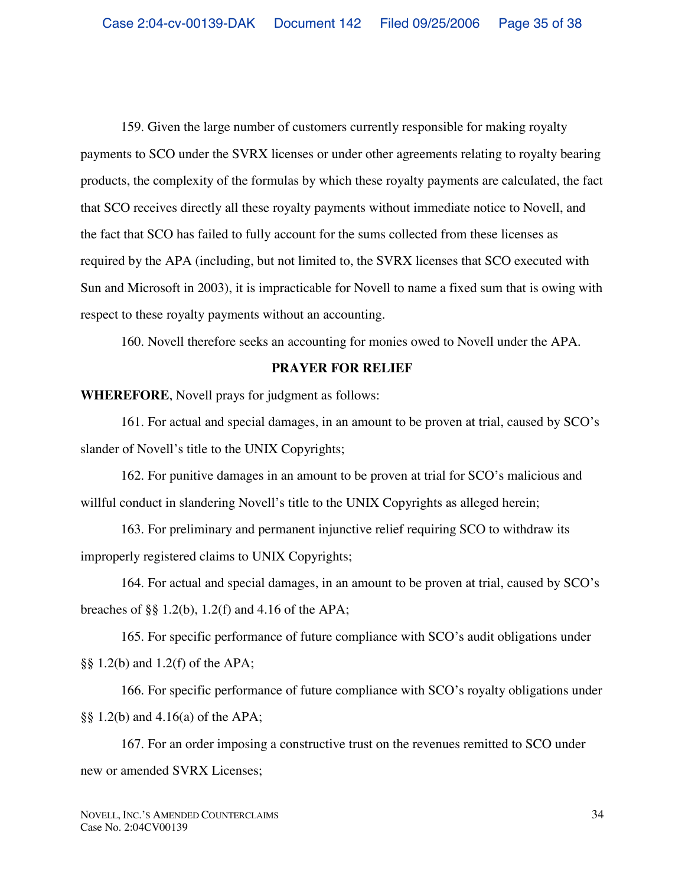159. Given the large number of customers currently responsible for making royalty payments to SCO under the SVRX licenses or under other agreements relating to royalty bearing products, the complexity of the formulas by which these royalty payments are calculated, the fact that SCO receives directly all these royalty payments without immediate notice to Novell, and the fact that SCO has failed to fully account for the sums collected from these licenses as required by the APA (including, but not limited to, the SVRX licenses that SCO executed with Sun and Microsoft in 2003), it is impracticable for Novell to name a fixed sum that is owing with respect to these royalty payments without an accounting.

160. Novell therefore seeks an accounting for monies owed to Novell under the APA.

## **PRAYER FOR RELIEF**

**WHEREFORE**, Novell prays for judgment as follows:

161. For actual and special damages, in an amount to be proven at trial, caused by SCO's slander of Novell's title to the UNIX Copyrights;

162. For punitive damages in an amount to be proven at trial for SCO's malicious and willful conduct in slandering Novell's title to the UNIX Copyrights as alleged herein;

163. For preliminary and permanent injunctive relief requiring SCO to withdraw its improperly registered claims to UNIX Copyrights;

164. For actual and special damages, in an amount to be proven at trial, caused by SCO's breaches of §§ 1.2(b), 1.2(f) and 4.16 of the APA;

165. For specific performance of future compliance with SCO's audit obligations under §§ 1.2(b) and 1.2(f) of the APA;

166. For specific performance of future compliance with SCO's royalty obligations under §§ 1.2(b) and 4.16(a) of the APA;

167. For an order imposing a constructive trust on the revenues remitted to SCO under new or amended SVRX Licenses;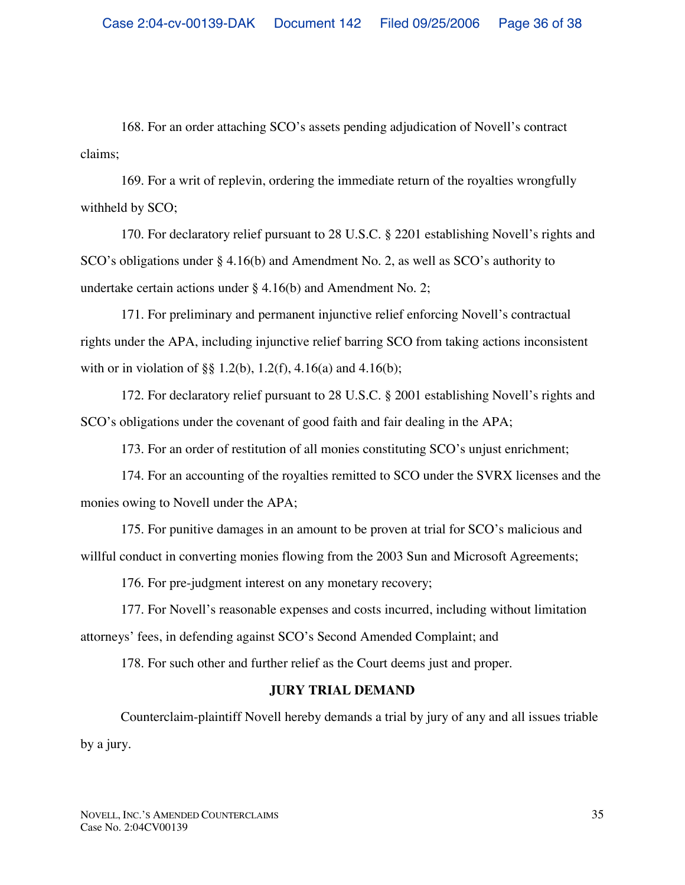168. For an order attaching SCO's assets pending adjudication of Novell's contract claims;

169. For a writ of replevin, ordering the immediate return of the royalties wrongfully withheld by SCO;

170. For declaratory relief pursuant to 28 U.S.C. § 2201 establishing Novell's rights and SCO's obligations under § 4.16(b) and Amendment No. 2, as well as SCO's authority to undertake certain actions under § 4.16(b) and Amendment No. 2;

171. For preliminary and permanent injunctive relief enforcing Novell's contractual rights under the APA, including injunctive relief barring SCO from taking actions inconsistent with or in violation of §§ 1.2(b), 1.2(f), 4.16(a) and 4.16(b);

172. For declaratory relief pursuant to 28 U.S.C. § 2001 establishing Novell's rights and SCO's obligations under the covenant of good faith and fair dealing in the APA;

173. For an order of restitution of all monies constituting SCO's unjust enrichment;

174. For an accounting of the royalties remitted to SCO under the SVRX licenses and the monies owing to Novell under the APA;

175. For punitive damages in an amount to be proven at trial for SCO's malicious and willful conduct in converting monies flowing from the 2003 Sun and Microsoft Agreements;

176. For pre-judgment interest on any monetary recovery;

177. For Novell's reasonable expenses and costs incurred, including without limitation attorneys' fees, in defending against SCO's Second Amended Complaint; and

178. For such other and further relief as the Court deems just and proper.

# **JURY TRIAL DEMAND**

Counterclaim-plaintiff Novell hereby demands a trial by jury of any and all issues triable by a jury.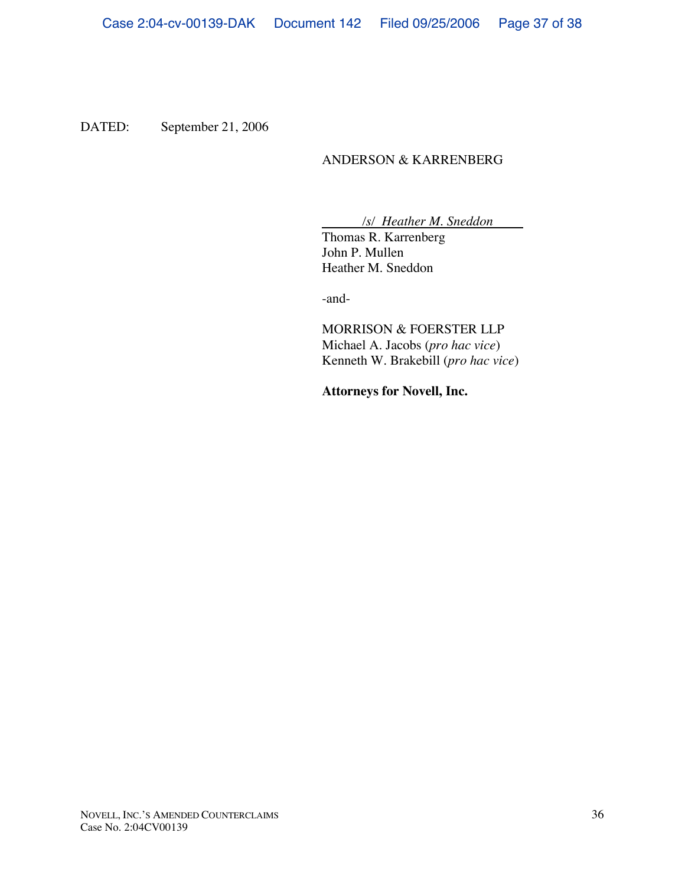DATED: September 21, 2006

## ANDERSON & KARRENBERG

*/s/ Heather M. Sneddon*

Thomas R. Karrenberg John P. Mullen Heather M. Sneddon

-and-

MORRISON & FOERSTER LLP Michael A. Jacobs (*pro hac vice*) Kenneth W. Brakebill (*pro hac vice*)

**Attorneys for Novell, Inc.**